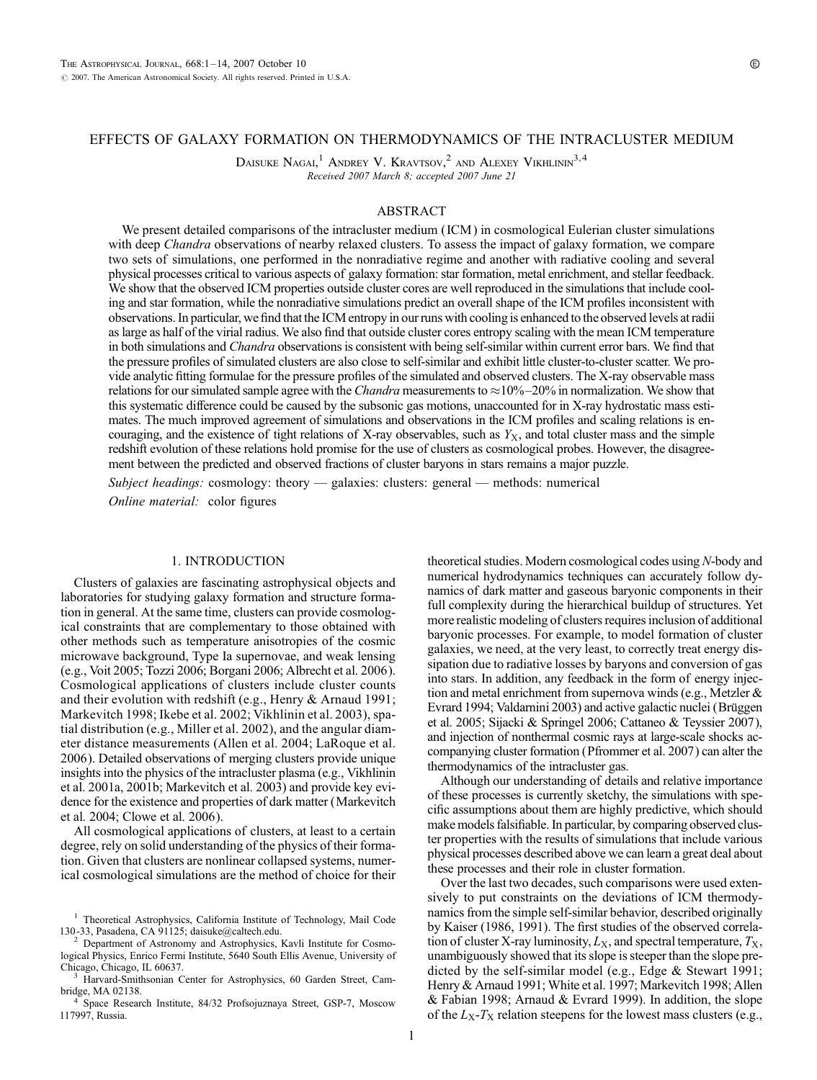# EFFECTS OF GALAXY FORMATION ON THERMODYNAMICS OF THE INTRACLUSTER MEDIUM

DAISUKE NAGAI,<sup>1</sup> ANDREY V. KRAVTSOV,<sup>2</sup> AND ALEXEY VIKHLININ<sup>3,4</sup> Received 2007 March 8; accepted 2007 June 21

### ABSTRACT

We present detailed comparisons of the intracluster medium (ICM) in cosmological Eulerian cluster simulations with deep Chandra observations of nearby relaxed clusters. To assess the impact of galaxy formation, we compare two sets of simulations, one performed in the nonradiative regime and another with radiative cooling and several physical processes critical to various aspects of galaxy formation: star formation, metal enrichment, and stellar feedback. We show that the observed ICM properties outside cluster cores are well reproduced in the simulations that include cooling and star formation, while the nonradiative simulations predict an overall shape of the ICM profiles inconsistent with observations. In particular, we find that the ICM entropy in our runs with cooling is enhanced to the observed levels at radii as large as half of the virial radius. We also find that outside cluster cores entropy scaling with the mean ICM temperature in both simulations and *Chandra* observations is consistent with being self-similar within current error bars. We find that the pressure profiles of simulated clusters are also close to self-similar and exhibit little cluster-to-cluster scatter. We provide analytic fitting formulae for the pressure profiles of the simulated and observed clusters. The X-ray observable mass relations for our simulated sample agree with the *Chandra* measurements to  $\approx$ 10% $-20\%$  in normalization. We show that this systematic difference could be caused by the subsonic gas motions, unaccounted for in X-ray hydrostatic mass estimates. The much improved agreement of simulations and observations in the ICM profiles and scaling relations is encouraging, and the existence of tight relations of X-ray observables, such as  $Y<sub>X</sub>$ , and total cluster mass and the simple redshift evolution of these relations hold promise for the use of clusters as cosmological probes. However, the disagreement between the predicted and observed fractions of cluster baryons in stars remains a major puzzle.

Subject headings: cosmology: theory — galaxies: clusters: general — methods: numerical Online material: color figures

## 1. INTRODUCTION

Clusters of galaxies are fascinating astrophysical objects and laboratories for studying galaxy formation and structure formation in general. At the same time, clusters can provide cosmological constraints that are complementary to those obtained with other methods such as temperature anisotropies of the cosmic microwave background, Type Ia supernovae, and weak lensing (e.g., Voit 2005; Tozzi 2006; Borgani 2006; Albrecht et al. 2006). Cosmological applications of clusters include cluster counts and their evolution with redshift (e.g., Henry & Arnaud 1991; Markevitch 1998; Ikebe et al. 2002; Vikhlinin et al. 2003), spatial distribution (e.g., Miller et al. 2002), and the angular diameter distance measurements (Allen et al. 2004; LaRoque et al. 2006). Detailed observations of merging clusters provide unique insights into the physics of the intracluster plasma (e.g., Vikhlinin et al. 2001a, 2001b; Markevitch et al. 2003) and provide key evidence for the existence and properties of dark matter (Markevitch et al. 2004; Clowe et al. 2006).

All cosmological applications of clusters, at least to a certain degree, rely on solid understanding of the physics of their formation. Given that clusters are nonlinear collapsed systems, numerical cosmological simulations are the method of choice for their

Department of Astronomy and Astrophysics, Kavli Institute for Cosmological Physics, Enrico Fermi Institute, 5640 South Ellis Avenue, University of

Harvard-Smithsonian Center for Astrophysics, 60 Garden Street, Cambridge, MA 02138.<br><sup>4</sup> Space Research Institute, 84/32 Profsojuznaya Street, GSP-7, Moscow

117997, Russia.

theoretical studies. Modern cosmological codes using N-body and numerical hydrodynamics techniques can accurately follow dynamics of dark matter and gaseous baryonic components in their full complexity during the hierarchical buildup of structures. Yet more realistic modeling of clusters requires inclusion of additional baryonic processes. For example, to model formation of cluster galaxies, we need, at the very least, to correctly treat energy dissipation due to radiative losses by baryons and conversion of gas into stars. In addition, any feedback in the form of energy injection and metal enrichment from supernova winds (e.g., Metzler & Evrard 1994; Valdarnini 2003) and active galactic nuclei (Brüggen et al. 2005; Sijacki & Springel 2006; Cattaneo & Teyssier 2007), and injection of nonthermal cosmic rays at large-scale shocks accompanying cluster formation (Pfrommer et al. 2007) can alter the thermodynamics of the intracluster gas.

Although our understanding of details and relative importance of these processes is currently sketchy, the simulations with specific assumptions about them are highly predictive, which should make models falsifiable. In particular, by comparing observed cluster properties with the results of simulations that include various physical processes described above we can learn a great deal about these processes and their role in cluster formation.

Over the last two decades, such comparisons were used extensively to put constraints on the deviations of ICM thermodynamics from the simple self-similar behavior, described originally by Kaiser (1986, 1991). The first studies of the observed correlation of cluster X-ray luminosity,  $L_X$ , and spectral temperature,  $T_X$ , unambiguously showed that its slope is steeper than the slope predicted by the self-similar model (e.g., Edge & Stewart 1991; Henry & Arnaud 1991; White et al. 1997; Markevitch 1998; Allen & Fabian 1998; Arnaud & Evrard 1999). In addition, the slope of the  $L_X-T_X$  relation steepens for the lowest mass clusters (e.g.,

<sup>&</sup>lt;sup>1</sup> Theoretical Astrophysics, California Institute of Technology, Mail Code 130-33, Pasadena, CA 91125; daisuke@caltech.edu.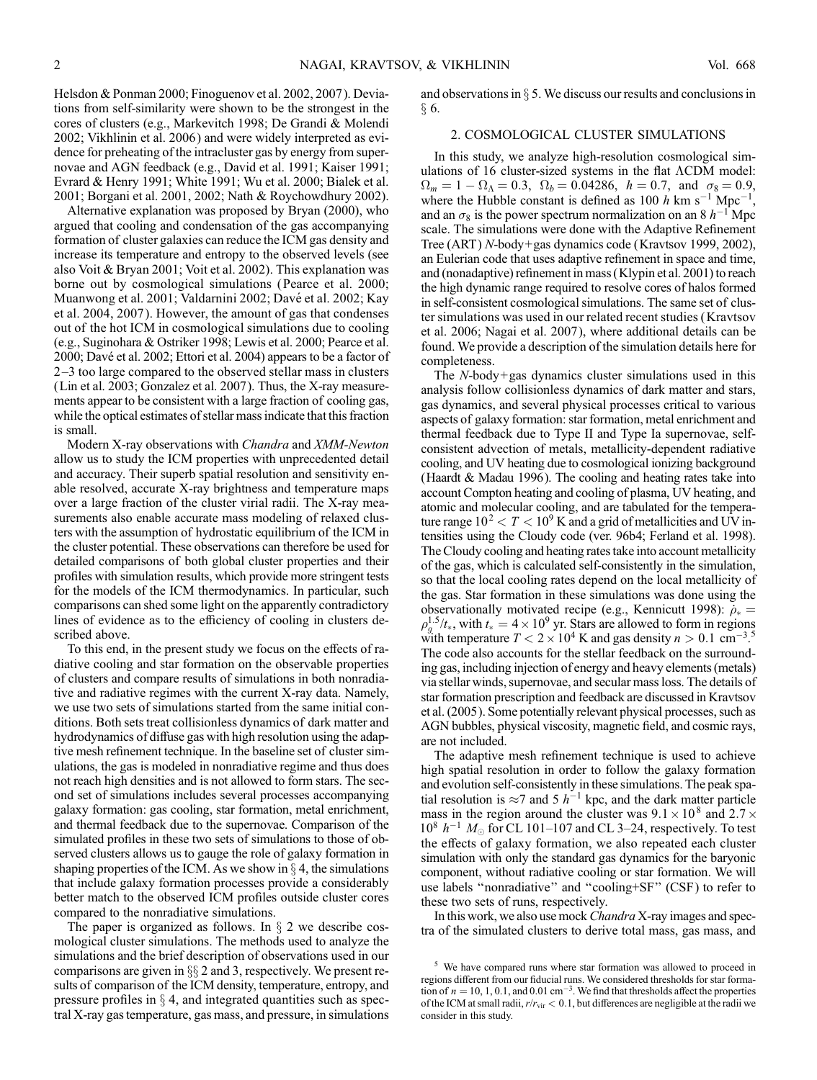Helsdon & Ponman 2000; Finoguenov et al. 2002, 2007). Deviations from self-similarity were shown to be the strongest in the cores of clusters (e.g., Markevitch 1998; De Grandi & Molendi 2002; Vikhlinin et al. 2006 ) and were widely interpreted as evidence for preheating of the intracluster gas by energy from supernovae and AGN feedback (e.g., David et al. 1991; Kaiser 1991; Evrard & Henry 1991; White 1991; Wu et al. 2000; Bialek et al. 2001; Borgani et al. 2001, 2002; Nath & Roychowdhury 2002).

Alternative explanation was proposed by Bryan (2000), who argued that cooling and condensation of the gas accompanying formation of cluster galaxies can reduce the ICM gas density and increase its temperature and entropy to the observed levels (see also Voit & Bryan 2001; Voit et al. 2002). This explanation was borne out by cosmological simulations (Pearce et al. 2000; Muanwong et al. 2001; Valdarnini 2002; Davé et al. 2002; Kay et al. 2004, 2007 ). However, the amount of gas that condenses out of the hot ICM in cosmological simulations due to cooling (e.g., Suginohara & Ostriker 1998; Lewis et al. 2000; Pearce et al. 2000; Davé et al. 2002; Ettori et al. 2004) appears to be a factor of  $2-3$  too large compared to the observed stellar mass in clusters (Lin et al. 2003; Gonzalez et al. 2007). Thus, the X-ray measurements appear to be consistent with a large fraction of cooling gas, while the optical estimates of stellar mass indicate that this fraction is small.

Modern X-ray observations with Chandra and XMM-Newton allow us to study the ICM properties with unprecedented detail and accuracy. Their superb spatial resolution and sensitivity enable resolved, accurate X-ray brightness and temperature maps over a large fraction of the cluster virial radii. The X-ray measurements also enable accurate mass modeling of relaxed clusters with the assumption of hydrostatic equilibrium of the ICM in the cluster potential. These observations can therefore be used for detailed comparisons of both global cluster properties and their profiles with simulation results, which provide more stringent tests for the models of the ICM thermodynamics. In particular, such comparisons can shed some light on the apparently contradictory lines of evidence as to the efficiency of cooling in clusters described above.

To this end, in the present study we focus on the effects of radiative cooling and star formation on the observable properties of clusters and compare results of simulations in both nonradiative and radiative regimes with the current X-ray data. Namely, we use two sets of simulations started from the same initial conditions. Both sets treat collisionless dynamics of dark matter and hydrodynamics of diffuse gas with high resolution using the adaptive mesh refinement technique. In the baseline set of cluster simulations, the gas is modeled in nonradiative regime and thus does not reach high densities and is not allowed to form stars. The second set of simulations includes several processes accompanying galaxy formation: gas cooling, star formation, metal enrichment, and thermal feedback due to the supernovae. Comparison of the simulated profiles in these two sets of simulations to those of observed clusters allows us to gauge the role of galaxy formation in shaping properties of the ICM. As we show in  $\S 4$ , the simulations that include galaxy formation processes provide a considerably better match to the observed ICM profiles outside cluster cores compared to the nonradiative simulations.

The paper is organized as follows. In  $\S$  2 we describe cosmological cluster simulations. The methods used to analyze the simulations and the brief description of observations used in our comparisons are given in  $\S$  2 and 3, respectively. We present results of comparison of the ICM density, temperature, entropy, and pressure profiles in  $\S 4$ , and integrated quantities such as spectral X-ray gas temperature, gas mass, and pressure, in simulations

and observations in  $\S 5$ . We discuss our results and conclusions in  $§ 6.$ 

#### 2. COSMOLOGICAL CLUSTER SIMULATIONS

In this study, we analyze high-resolution cosmological simulations of 16 cluster-sized systems in the flat  $\Lambda$ CDM model:  $\Omega_m = 1 - \Omega_\Lambda = 0.3, \ \Omega_b = 0.04286, \ h = 0.7, \text{ and } \sigma_8 = 0.9,$ where the Hubble constant is defined as 100 h km s<sup>-1</sup> Mpc<sup>-1</sup>, and an  $\sigma_8$  is the power spectrum normalization on an 8  $h^{-1}$  Mpc scale. The simulations were done with the Adaptive Refinement Tree (ART) N-body+gas dynamics code (Kravtsov 1999, 2002), an Eulerian code that uses adaptive refinement in space and time, and (nonadaptive) refinement in mass (Klypin et al. 2001) to reach the high dynamic range required to resolve cores of halos formed in self-consistent cosmological simulations. The same set of cluster simulations was used in our related recent studies (Kravtsov et al. 2006; Nagai et al. 2007), where additional details can be found. We provide a description of the simulation details here for completeness.

The N-body+gas dynamics cluster simulations used in this analysis follow collisionless dynamics of dark matter and stars, gas dynamics, and several physical processes critical to various aspects of galaxy formation: star formation, metal enrichment and thermal feedback due to Type II and Type Ia supernovae, selfconsistent advection of metals, metallicity-dependent radiative cooling, and UV heating due to cosmological ionizing background (Haardt & Madau 1996). The cooling and heating rates take into account Compton heating and cooling of plasma, UV heating, and atomic and molecular cooling, and are tabulated for the temperature range  $10^2 < T < 10^9$  K and a grid of metallicities and UV intensities using the Cloudy code (ver. 96b4; Ferland et al. 1998). The Cloudy cooling and heating rates take into account metallicity of the gas, which is calculated self-consistently in the simulation, so that the local cooling rates depend on the local metallicity of the gas. Star formation in these simulations was done using the observationally motivated recipe (e.g., Kennicutt 1998):  $\dot{\rho}_* =$  $\rho_g^{1.5}/t_*$ , with  $t_* = 4 \times 10^9$  yr. Stars are allowed to form in regions with temperature  $T < 2 \times 10^4$  K and gas density  $n > 0.1$  cm<sup>-3.5</sup> The code also accounts for the stellar feedback on the surrounding gas, including injection of energy and heavy elements (metals) via stellar winds, supernovae, and secular mass loss. The details of star formation prescription and feedback are discussed in Kravtsov et al. (2005). Some potentially relevant physical processes, such as AGN bubbles, physical viscosity, magnetic field, and cosmic rays, are not included.

The adaptive mesh refinement technique is used to achieve high spatial resolution in order to follow the galaxy formation and evolution self-consistently in these simulations. The peak spatial resolution is  $\approx$  7 and 5  $h^{-1}$  kpc, and the dark matter particle mass in the region around the cluster was  $9.1 \times 10^8$  and  $2.7 \times$  $10^8$   $h^{-1}$   $M_{\odot}$  for CL 101-107 and CL 3-24, respectively. To test the effects of galaxy formation, we also repeated each cluster simulation with only the standard gas dynamics for the baryonic component, without radiative cooling or star formation. We will use labels ''nonradiative'' and ''cooling+SF'' (CSF ) to refer to these two sets of runs, respectively.

In this work, we also use mock *Chandra* X-ray images and spectra of the simulated clusters to derive total mass, gas mass, and

<sup>5</sup> We have compared runs where star formation was allowed to proceed in regions different from our fiducial runs. We considered thresholds for star formation of  $n = 10, 1, 0.1$ , and  $0.01 \text{ cm}^{-3}$ . We find that thresholds affect the properties of the ICM at small radii,  $r/r_{\rm vir} < 0.1$ , but differences are negligible at the radii we consider in this study.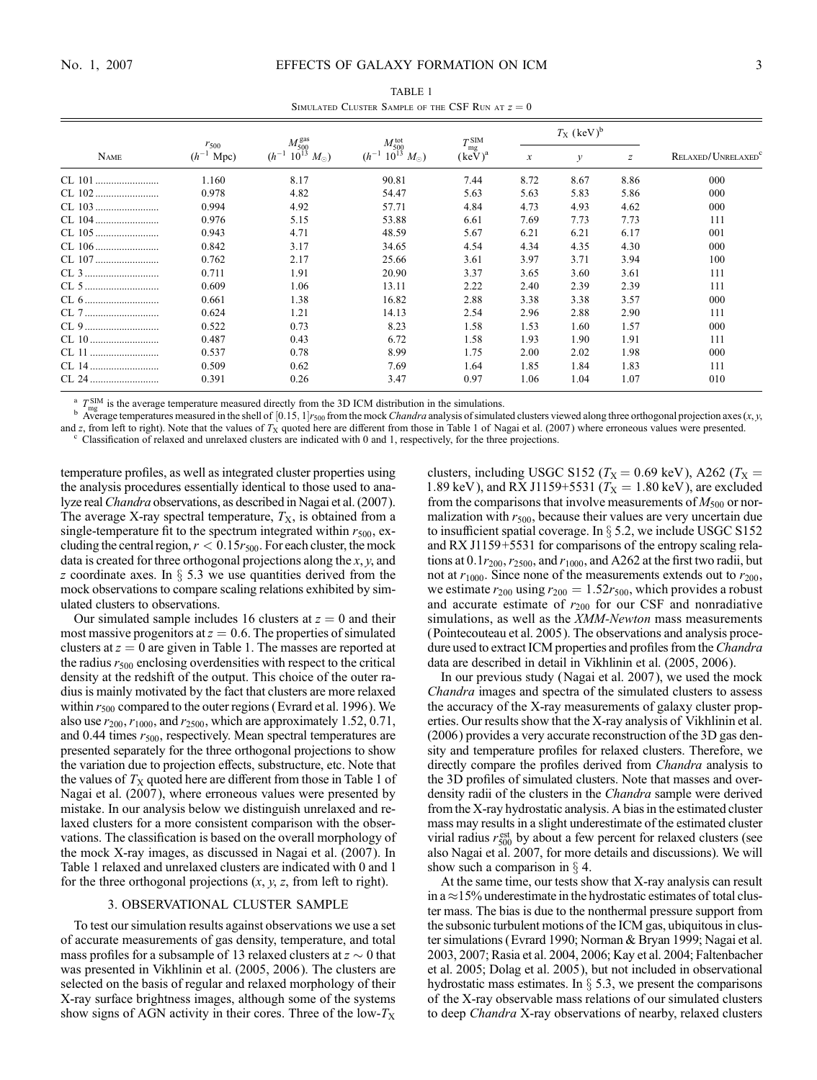| SIMULATED CLUSTER SAMPLE OF THE CSF RUN AT $z = 0$ |                                 |                         |                       |                        |                                |               |               |                                |
|----------------------------------------------------|---------------------------------|-------------------------|-----------------------|------------------------|--------------------------------|---------------|---------------|--------------------------------|
|                                                    |                                 | $M_{500}^{\text{ gas}}$ | $M_{500}^{tot}$       | $T_{\rm mg}^{\rm SIM}$ | $T_{\rm X}$ (keV) <sup>b</sup> |               |               |                                |
| <b>NAME</b>                                        | $r_{500}$<br>$(h^{-1})$<br>Mpc) | $10^{13} M_{\odot}$ )   | $10^{13} M_{\odot}$ ) | $(keV)^a$              | $\mathcal{X}$                  | $\mathcal{V}$ | $\mathcal{Z}$ | RELAXED/UNRELAXED <sup>c</sup> |
| CL 101                                             | 1.160                           | 8.17                    | 90.81                 | 7.44                   | 8.72                           | 8.67          | 8.86          | 000                            |
| CL 102                                             | 0.978                           | 4.82                    | 54.47                 | 5.63                   | 5.63                           | 5.83          | 5.86          | 000                            |
| CL 103                                             | 0.994                           | 4.92                    | 57.71                 | 4.84                   | 4.73                           | 4.93          | 4.62          | 000                            |
| CL 104                                             | 0.976                           | 5.15                    | 53.88                 | 6.61                   | 7.69                           | 7.73          | 7.73          | 111                            |
|                                                    | 0.943                           | 4.71                    | 48.59                 | 5.67                   | 6.21                           | 6.21          | 6.17          | 001                            |
|                                                    | 0.842                           | 3.17                    | 34.65                 | 4.54                   | 4.34                           | 4.35          | 4.30          | 000                            |
|                                                    | 0.762                           | 2.17                    | 25.66                 | 3.61                   | 3.97                           | 3.71          | 3.94          | 100                            |
|                                                    | 0.711                           | 1.91                    | 20.90                 | 3.37                   | 3.65                           | 3.60          | 3.61          | 111                            |
|                                                    | 0.609                           | 1.06                    | 13.11                 | 2.22                   | 2.40                           | 2.39          | 2.39          | 111                            |
|                                                    | 0.661                           | 1.38                    | 16.82                 | 2.88                   | 3.38                           | 3.38          | 3.57          | 000                            |
| CL 7                                               | 0.624                           | 1.21                    | 14.13                 | 2.54                   | 2.96                           | 2.88          | 2.90          | 111                            |
|                                                    | 0.522                           | 0.73                    | 8.23                  | 1.58                   | 1.53                           | 1.60          | 1.57          | 000                            |
| CL 10                                              | 0.487                           | 0.43                    | 6.72                  | 1.58                   | 1.93                           | 1.90          | 1.91          | 111                            |
| CL 11                                              | 0.537                           | 0.78                    | 8.99                  | 1.75                   | 2.00                           | 2.02          | 1.98          | 000                            |

TABLE 1

 $T_{\text{max}}^{\text{SIM}}$  is the average temperature measured directly from the 3D ICM distribution in the simulations.

Average temperatures measured in the shell of  $[0.15, 1]r_{500}$  from the mock *Chandra* analysis of simulated clusters viewed along three orthogonal projection axes  $(x, y, z)$ and z, from left to right). Note that the values of  $T_X$  quoted here are different from those in Table 1 of Nagai et al. (2007) where erroneous values were presented.

CL 14 .......................... 0.509 0.62 7.69 1.64 1.85 1.84 1.83 111 CL 24 .......................... 0.391 0.26 3.47 0.97 1.06 1.04 1.07 010

temperature profiles, as well as integrated cluster properties using the analysis procedures essentially identical to those used to analyze real Chandra observations, as described in Nagai et al. (2007). The average X-ray spectral temperature,  $T<sub>X</sub>$ , is obtained from a single-temperature fit to the spectrum integrated within  $r_{500}$ , excluding the central region,  $r < 0.15r_{500}$ . For each cluster, the mock data is created for three orthogonal projections along the  $x, y$ , and z coordinate axes. In  $\S$  5.3 we use quantities derived from the mock observations to compare scaling relations exhibited by simulated clusters to observations.

Our simulated sample includes 16 clusters at  $z = 0$  and their most massive progenitors at  $z = 0.6$ . The properties of simulated clusters at  $z = 0$  are given in Table 1. The masses are reported at the radius  $r_{500}$  enclosing overdensities with respect to the critical density at the redshift of the output. This choice of the outer radius is mainly motivated by the fact that clusters are more relaxed within  $r_{500}$  compared to the outer regions (Evrard et al. 1996). We also use  $r_{200}$ ,  $r_{1000}$ , and  $r_{2500}$ , which are approximately 1.52, 0.71, and 0.44 times  $r_{500}$ , respectively. Mean spectral temperatures are presented separately for the three orthogonal projections to show the variation due to projection effects, substructure, etc. Note that the values of  $T<sub>X</sub>$  quoted here are different from those in Table 1 of Nagai et al. (2007), where erroneous values were presented by mistake. In our analysis below we distinguish unrelaxed and relaxed clusters for a more consistent comparison with the observations. The classification is based on the overall morphology of the mock X-ray images, as discussed in Nagai et al. (2007). In Table 1 relaxed and unrelaxed clusters are indicated with 0 and 1 for the three orthogonal projections  $(x, y, z,$  from left to right).

#### 3. OBSERVATIONAL CLUSTER SAMPLE

To test our simulation results against observations we use a set of accurate measurements of gas density, temperature, and total mass profiles for a subsample of 13 relaxed clusters at  $z \sim 0$  that was presented in Vikhlinin et al. (2005, 2006 ). The clusters are selected on the basis of regular and relaxed morphology of their X-ray surface brightness images, although some of the systems show signs of AGN activity in their cores. Three of the low- $T_X$  clusters, including USGC S152 ( $T_X$  = 0.69 keV), A262 ( $T_X$  = 1.89 keV), and RX J1159+5531 ( $T_X = 1.80 \text{ keV}$ ), are excluded from the comparisons that involve measurements of  $M_{500}$  or normalization with  $r_{500}$ , because their values are very uncertain due to insufficient spatial coverage. In  $\S$  5.2, we include USGC S152 and RX J1159+5531 for comparisons of the entropy scaling relations at  $0.1r_{200}$ ,  $r_{2500}$ , and  $r_{1000}$ , and A262 at the first two radii, but not at  $r_{1000}$ . Since none of the measurements extends out to  $r_{200}$ , we estimate  $r_{200}$  using  $r_{200} = 1.52r_{500}$ , which provides a robust and accurate estimate of  $r_{200}$  for our CSF and nonradiative simulations, as well as the XMM-Newton mass measurements (Pointecouteau et al. 2005). The observations and analysis procedure used to extract ICM properties and profiles from the Chandra data are described in detail in Vikhlinin et al. (2005, 2006).

In our previous study (Nagai et al. 2007 ), we used the mock Chandra images and spectra of the simulated clusters to assess the accuracy of the X-ray measurements of galaxy cluster properties. Our results show that the X-ray analysis of Vikhlinin et al. (2006) provides a very accurate reconstruction of the 3D gas density and temperature profiles for relaxed clusters. Therefore, we directly compare the profiles derived from *Chandra* analysis to the 3D profiles of simulated clusters. Note that masses and overdensity radii of the clusters in the *Chandra* sample were derived from the X-ray hydrostatic analysis. A bias in the estimated cluster mass may results in a slight underestimate of the estimated cluster virial radius  $r_{500}^{\text{est}}$  by about a few percent for relaxed clusters (see also Nagai et al. 2007, for more details and discussions). We will show such a comparison in  $\S$  4.

At the same time, our tests show that X-ray analysis can result in a  $\approx$  15% underestimate in the hydrostatic estimates of total cluster mass. The bias is due to the nonthermal pressure support from the subsonic turbulent motions of the ICM gas, ubiquitous in cluster simulations (Evrard 1990; Norman & Bryan 1999; Nagai et al. 2003, 2007; Rasia et al. 2004, 2006; Kay et al. 2004; Faltenbacher et al. 2005; Dolag et al. 2005), but not included in observational hydrostatic mass estimates. In  $\S$  5.3, we present the comparisons of the X-ray observable mass relations of our simulated clusters to deep Chandra X-ray observations of nearby, relaxed clusters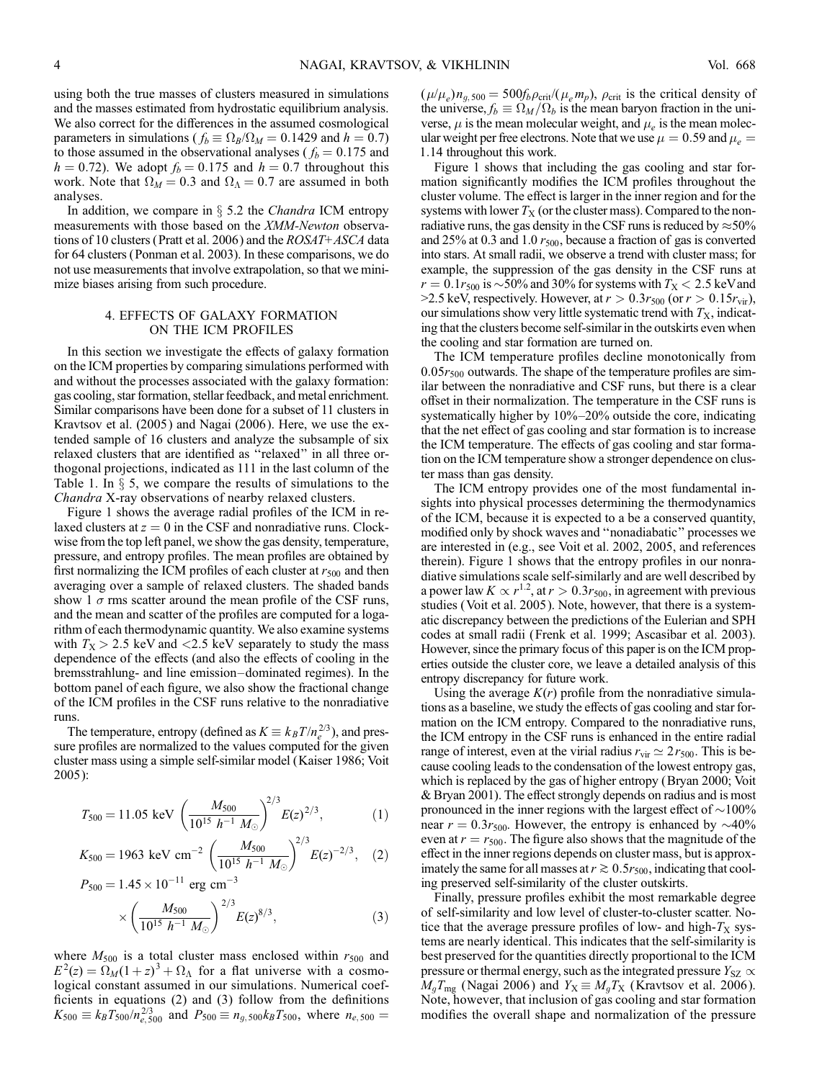using both the true masses of clusters measured in simulations and the masses estimated from hydrostatic equilibrium analysis. We also correct for the differences in the assumed cosmological parameters in simulations ( $f_b \equiv \Omega_B/\Omega_M = 0.1429$  and  $h = 0.7$ ) to those assumed in the observational analyses ( $f_b = 0.175$  and  $h = 0.72$ ). We adopt  $f_b = 0.175$  and  $h = 0.7$  throughout this work. Note that  $\Omega_M = 0.3$  and  $\Omega_\Lambda = 0.7$  are assumed in both analyses.

In addition, we compare in  $\S$  5.2 the *Chandra* ICM entropy measurements with those based on the XMM-Newton observations of 10 clusters (Pratt et al. 2006) and the ROSAT+ASCA data for 64 clusters (Ponman et al. 2003). In these comparisons, we do not use measurements that involve extrapolation, so that we minimize biases arising from such procedure.

## 4. EFFECTS OF GALAXY FORMATION ON THE ICM PROFILES

In this section we investigate the effects of galaxy formation on the ICM properties by comparing simulations performed with and without the processes associated with the galaxy formation: gas cooling, star formation, stellar feedback, and metal enrichment. Similar comparisons have been done for a subset of 11 clusters in Kravtsov et al. (2005) and Nagai (2006). Here, we use the extended sample of 16 clusters and analyze the subsample of six relaxed clusters that are identified as ''relaxed'' in all three orthogonal projections, indicated as 111 in the last column of the Table 1. In  $\S$  5, we compare the results of simulations to the Chandra X-ray observations of nearby relaxed clusters.

Figure 1 shows the average radial profiles of the ICM in relaxed clusters at  $z = 0$  in the CSF and nonradiative runs. Clockwise from the top left panel, we show the gas density, temperature, pressure, and entropy profiles. The mean profiles are obtained by first normalizing the ICM profiles of each cluster at  $r_{500}$  and then averaging over a sample of relaxed clusters. The shaded bands show 1  $\sigma$  rms scatter around the mean profile of the CSF runs, and the mean and scatter of the profiles are computed for a logarithm of each thermodynamic quantity. We also examine systems with  $T_X > 2.5$  keV and  $\langle 2.5 \text{ keV} \rangle$  separately to study the mass dependence of the effects (and also the effects of cooling in the bremsstrahlung- and line emission-dominated regimes). In the bottom panel of each figure, we also show the fractional change of the ICM profiles in the CSF runs relative to the nonradiative runs.

The temperature, entropy (defined as  $K \equiv k_B T / n_e^{2/3}$ ), and pressure profiles are normalized to the values computed for the given cluster mass using a simple self-similar model (Kaiser 1986; Voit 2005):

$$
T_{500} = 11.05 \text{ keV} \left(\frac{M_{500}}{10^{15} h^{-1} M_{\odot}}\right)^{2/3} E(z)^{2/3},\tag{1}
$$

$$
K_{500} = 1963 \text{ keV cm}^{-2} \left(\frac{M_{500}}{10^{15} h^{-1} M_{\odot}}\right)^{2/3} E(z)^{-2/3},
$$
 (2)

$$
P_{500} = 1.45 \times 10^{-11} \text{ erg cm}^{-3}
$$

$$
\times \left(\frac{M_{500}}{10^{15} h^{-1} M_{\odot}}\right)^{2/3} E(z)^{8/3}, \tag{3}
$$

where  $M_{500}$  is a total cluster mass enclosed within  $r_{500}$  and  $E^2(z) = \Omega_M (1+z)^3 + \Omega_\Lambda$  for a flat universe with a cosmological constant assumed in our simulations. Numerical coefficients in equations (2) and (3) follow from the definitions  $K_{500} \equiv k_B T_{500} / n_{e,500}^{2/3}$  and  $P_{500} \equiv n_{g,500} k_B T_{500}$ , where  $n_{e,500} =$ 

 $(\mu/\mu_e) n_{g,500} = 500 f_b \rho_{crit} / (\mu_e m_p)$ ,  $\rho_{crit}$  is the critical density of the universe,  $f_b \equiv \Omega_M / \Omega_b$  is the mean baryon fraction in the universe,  $\mu$  is the mean molecular weight, and  $\mu_e$  is the mean molecular weight per free electrons. Note that we use  $\mu = 0.59$  and  $\mu_e =$ 1:14 throughout this work.

Figure 1 shows that including the gas cooling and star formation significantly modifies the ICM profiles throughout the cluster volume. The effect is larger in the inner region and for the systems with lower  $T<sub>X</sub>$  (or the cluster mass). Compared to the nonradiative runs, the gas density in the CSF runs is reduced by  $\approx$  50% and 25% at 0.3 and 1.0  $r_{500}$ , because a fraction of gas is converted into stars. At small radii, we observe a trend with cluster mass; for example, the suppression of the gas density in the CSF runs at  $r = 0.1r_{500}$  is  $\sim$  50% and 30% for systems with  $T_{\rm X}$  < 2.5 keV and >2.5 keV, respectively. However, at  $r > 0.3r_{500}$  (or  $r > 0.15r_{vir}$ ), our simulations show very little systematic trend with  $T<sub>X</sub>$ , indicating that the clusters become self-similar in the outskirts even when the cooling and star formation are turned on.

The ICM temperature profiles decline monotonically from  $0.05r_{500}$  outwards. The shape of the temperature profiles are similar between the nonradiative and CSF runs, but there is a clear offset in their normalization. The temperature in the CSF runs is systematically higher by  $10\% - 20\%$  outside the core, indicating that the net effect of gas cooling and star formation is to increase the ICM temperature. The effects of gas cooling and star formation on the ICM temperature show a stronger dependence on cluster mass than gas density.

The ICM entropy provides one of the most fundamental insights into physical processes determining the thermodynamics of the ICM, because it is expected to a be a conserved quantity, modified only by shock waves and ''nonadiabatic'' processes we are interested in (e.g., see Voit et al. 2002, 2005, and references therein). Figure 1 shows that the entropy profiles in our nonradiative simulations scale self-similarly and are well described by a power law  $K \propto r^{1.2}$ , at  $r > 0.3r_{500}$ , in agreement with previous studies (Voit et al. 2005 ). Note, however, that there is a systematic discrepancy between the predictions of the Eulerian and SPH codes at small radii (Frenk et al. 1999; Ascasibar et al. 2003). However, since the primary focus of this paper is on the ICM properties outside the cluster core, we leave a detailed analysis of this entropy discrepancy for future work.

Using the average  $K(r)$  profile from the nonradiative simulations as a baseline, we study the effects of gas cooling and star formation on the ICM entropy. Compared to the nonradiative runs, the ICM entropy in the CSF runs is enhanced in the entire radial range of interest, even at the virial radius  $r_{\text{vir}} \simeq 2r_{500}$ . This is because cooling leads to the condensation of the lowest entropy gas, which is replaced by the gas of higher entropy (Bryan 2000; Voit & Bryan 2001). The effect strongly depends on radius and is most pronounced in the inner regions with the largest effect of  $\sim$  100% near  $r = 0.3r_{500}$ . However, the entropy is enhanced by  $\sim 40\%$ even at  $r = r_{500}$ . The figure also shows that the magnitude of the effect in the inner regions depends on cluster mass, but is approximately the same for all masses at  $r \gtrsim 0.5r_{500}$ , indicating that cooling preserved self-similarity of the cluster outskirts.

Finally, pressure profiles exhibit the most remarkable degree of self-similarity and low level of cluster-to-cluster scatter. Notice that the average pressure profiles of low- and high- $T<sub>X</sub>$  systems are nearly identical. This indicates that the self-similarity is best preserved for the quantities directly proportional to the ICM pressure or thermal energy, such as the integrated pressure  $Y_{SZ} \propto$  $M_gT_{mg}$  (Nagai 2006) and  $Y_{X} \equiv M_gT_{X}$  (Kravtsov et al. 2006). Note, however, that inclusion of gas cooling and star formation modifies the overall shape and normalization of the pressure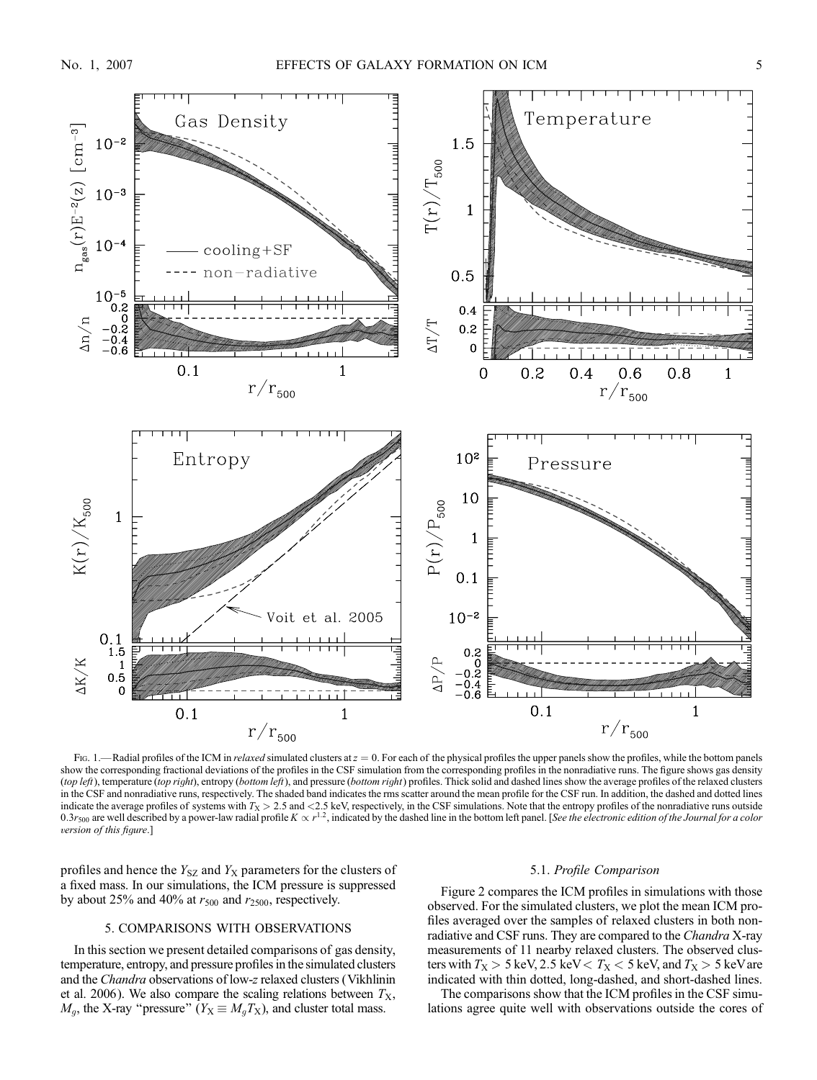

Fig. 1.—Radial profiles of the ICM in relaxed simulated clusters at  $z = 0$ . For each of the physical profiles the upper panels show the profiles, while the bottom panels show the corresponding fractional deviations of the profiles in the CSF simulation from the corresponding profiles in the nonradiative runs. The figure shows gas density (top left), temperature (top right), entropy (bottom left), and pressure (bottom right) profiles. Thick solid and dashed lines show the average profiles of the relaxed clusters in the CSF and nonradiative runs, respectively. The shaded band indicates the rms scatter around the mean profile for the CSF run. In addition, the dashed and dotted lines indicate the average profiles of systems with  $T_X > 2.5$  and  $\langle 2.5 \text{ keV} \rangle$ , respectively, in the CSF simulations. Note that the entropy profiles of the nonradiative runs outside 0.3 $r_{500}$  are well described by a power-law radial profile  $K \propto r^{1.2}$ , indicated by the dashed line in the bottom left panel. [See the electronic edition of the Journal for a color version of this figure.]

profiles and hence the  $Y_{SZ}$  and  $Y_X$  parameters for the clusters of a fixed mass. In our simulations, the ICM pressure is suppressed by about 25% and 40% at  $r_{500}$  and  $r_{2500}$ , respectively.

### 5. COMPARISONS WITH OBSERVATIONS

In this section we present detailed comparisons of gas density, temperature, entropy, and pressure profiles in the simulated clusters and the Chandra observations of low-z relaxed clusters (Vikhlinin et al. 2006). We also compare the scaling relations between  $T_{\rm X}$ ,  $M_q$ , the X-ray "pressure" ( $Y_{\rm X} \equiv M_q T_{\rm X}$ ), and cluster total mass.

### 5.1. Profile Comparison

Figure 2 compares the ICM profiles in simulations with those observed. For the simulated clusters, we plot the mean ICM profiles averaged over the samples of relaxed clusters in both nonradiative and CSF runs. They are compared to the *Chandra* X-ray measurements of 11 nearby relaxed clusters. The observed clusters with  $T_X > 5$  keV, 2.5 keV  $T_X < 5$  keV, and  $T_X > 5$  keV are indicated with thin dotted, long-dashed, and short-dashed lines.

The comparisons show that the ICM profiles in the CSF simulations agree quite well with observations outside the cores of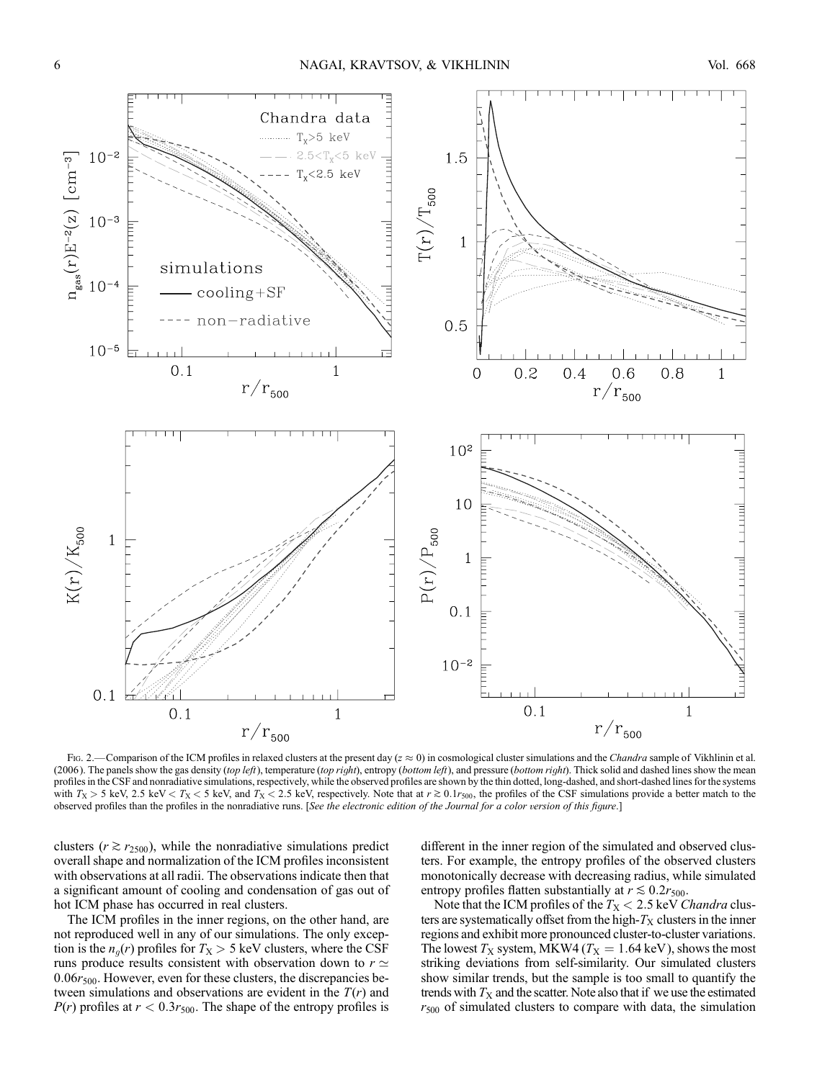

Fig. 2.—Comparison of the ICM profiles in relaxed clusters at the present day ( $z \approx 0$ ) in cosmological cluster simulations and the Chandra sample of Vikhlinin et al. (2006). The panels show the gas density (top left), temperature (top right), entropy (bottom left), and pressure (bottom right). Thick solid and dashed lines show the mean profiles in the CSF and nonradiative simulations, respectively, while the observed profiles are shown by the thin dotted, long-dashed, and short-dashed lines for the systems with  $T_X > 5$  keV, 2.5 keV  $\lt T_X < 5$  keV, and  $T_X < 2.5$  keV, respectively. Note that at  $r \gtrsim 0.1r_{500}$ , the profiles of the CSF simulations provide a better match to the observed profiles than the profiles in the nonradiative runs. [See the electronic edition of the Journal for a color version of this figure.]

clusters ( $r \gtrsim r_{2500}$ ), while the nonradiative simulations predict overall shape and normalization of the ICM profiles inconsistent with observations at all radii. The observations indicate then that a significant amount of cooling and condensation of gas out of hot ICM phase has occurred in real clusters.

The ICM profiles in the inner regions, on the other hand, are not reproduced well in any of our simulations. The only exception is the  $n_q(r)$  profiles for  $T_X > 5$  keV clusters, where the CSF runs produce results consistent with observation down to  $r \simeq$  $0.06r_{500}$ . However, even for these clusters, the discrepancies between simulations and observations are evident in the  $T(r)$  and  $P(r)$  profiles at  $r < 0.3r_{500}$ . The shape of the entropy profiles is

different in the inner region of the simulated and observed clusters. For example, the entropy profiles of the observed clusters monotonically decrease with decreasing radius, while simulated entropy profiles flatten substantially at  $r \lesssim 0.2r_{500}$ .

Note that the ICM profiles of the  $T_X < 2.5$  keV *Chandra* clusters are systematically offset from the high- $T<sub>X</sub>$  clusters in the inner regions and exhibit more pronounced cluster-to-cluster variations. The lowest  $T_X$  system, MKW4 ( $T_X = 1.64$  keV), shows the most striking deviations from self-similarity. Our simulated clusters show similar trends, but the sample is too small to quantify the trends with  $T<sub>X</sub>$  and the scatter. Note also that if we use the estimated  $r_{500}$  of simulated clusters to compare with data, the simulation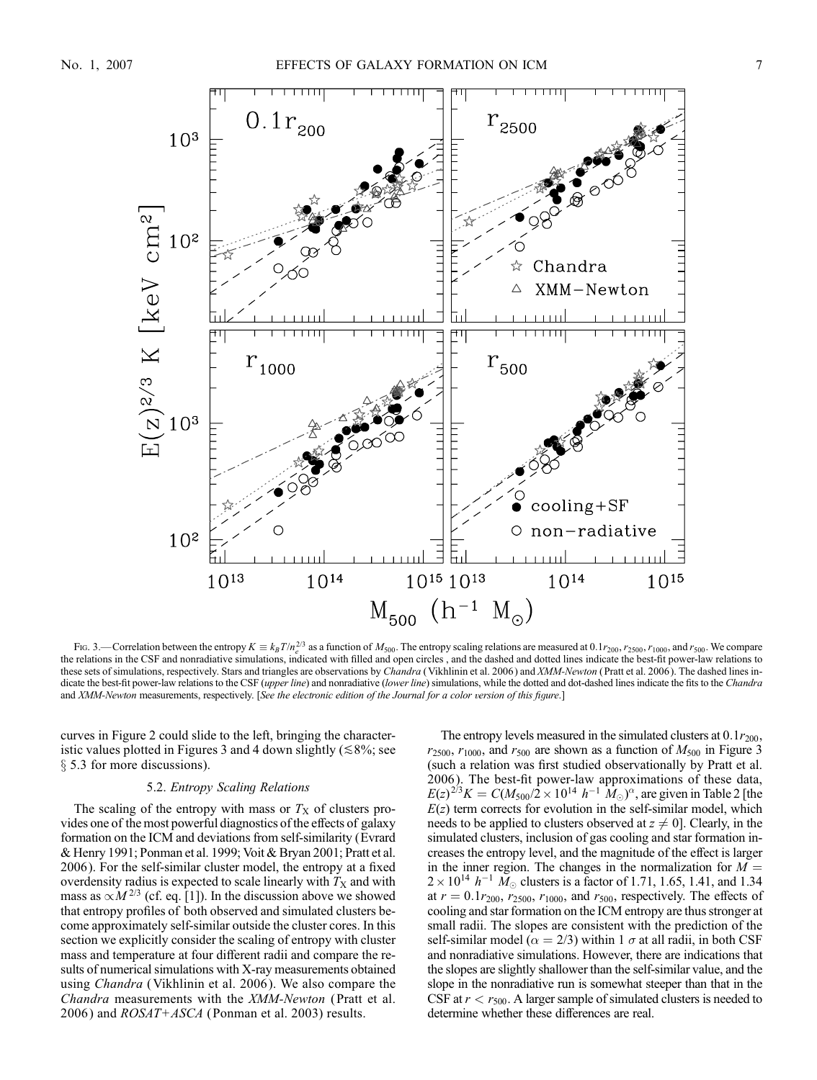

Fig. 3.—Correlation between the entropy  $K \equiv k_B T/n_e^{2/3}$  as a function of  $M_{500}$ . The entropy scaling relations are measured at 0.1 $r_{200}$ ,  $r_{2500}$ ,  $r_{1000}$ , and  $r_{500}$ . We compare the relations in the CSF and nonradiative simulations, indicated with filled and open circles , and the dashed and dotted lines indicate the best-fit power-law relations to these sets of simulations, respectively. Stars and triangles are observations by Chandra (Vikhlinin et al. 2006) and XMM-Newton (Pratt et al. 2006). The dashed lines indicate the best-fit power-law relations to the CSF (upper line) and nonradiative (lower line) simulations, while the dotted and dot-dashed lines indicate the fits to the Chandra and XMM-Newton measurements, respectively. [See the electronic edition of the Journal for a color version of this figure.]

curves in Figure 2 could slide to the left, bringing the characteristic values plotted in Figures 3 and 4 down slightly ( $\leq 8\%$ ; see  $\S$  5.3 for more discussions).

#### 5.2. Entropy Scaling Relations

The scaling of the entropy with mass or  $T<sub>X</sub>$  of clusters provides one of the most powerful diagnostics of the effects of galaxy formation on the ICM and deviations from self-similarity (Evrard & Henry 1991; Ponman et al. 1999; Voit & Bryan 2001; Pratt et al. 2006 ). For the self-similar cluster model, the entropy at a fixed overdensity radius is expected to scale linearly with  $T<sub>X</sub>$  and with mass as  $\propto M^{2/3}$  (cf. eq. [1]). In the discussion above we showed that entropy profiles of both observed and simulated clusters become approximately self-similar outside the cluster cores. In this section we explicitly consider the scaling of entropy with cluster mass and temperature at four different radii and compare the results of numerical simulations with X-ray measurements obtained using Chandra (Vikhlinin et al. 2006 ). We also compare the Chandra measurements with the XMM-Newton (Pratt et al. 2006) and  $ROSAT+ASCA$  (Ponman et al. 2003) results.

The entropy levels measured in the simulated clusters at  $0.1r_{200}$ ,  $r_{2500}$ ,  $r_{1000}$ , and  $r_{500}$  are shown as a function of  $M_{500}$  in Figure 3 (such a relation was first studied observationally by Pratt et al. 2006 ). The best-fit power-law approximations of these data,  $E(z)^{2/3}K = C(M_{500}/2 \times 10^{14} \; h^{-1} \; \hat{M}_{\odot})^{\alpha}$ , are given in Table 2 [the  $E(z)$  term corrects for evolution in the self-similar model, which needs to be applied to clusters observed at  $z \neq 0$ . Clearly, in the simulated clusters, inclusion of gas cooling and star formation increases the entropy level, and the magnitude of the effect is larger in the inner region. The changes in the normalization for  $M =$  $2 \times 10^{14}$   $h^{-1}$   $\dot{M}_{\odot}$  clusters is a factor of 1.71, 1.65, 1.41, and 1.34 at  $r = 0.1r_{200}$ ,  $r_{2500}$ ,  $r_{1000}$ , and  $r_{500}$ , respectively. The effects of cooling and star formation on the ICM entropy are thus stronger at small radii. The slopes are consistent with the prediction of the self-similar model ( $\alpha = 2/3$ ) within 1  $\sigma$  at all radii, in both CSF and nonradiative simulations. However, there are indications that the slopes are slightly shallower than the self-similar value, and the slope in the nonradiative run is somewhat steeper than that in the CSF at  $r < r_{500}$ . A larger sample of simulated clusters is needed to determine whether these differences are real.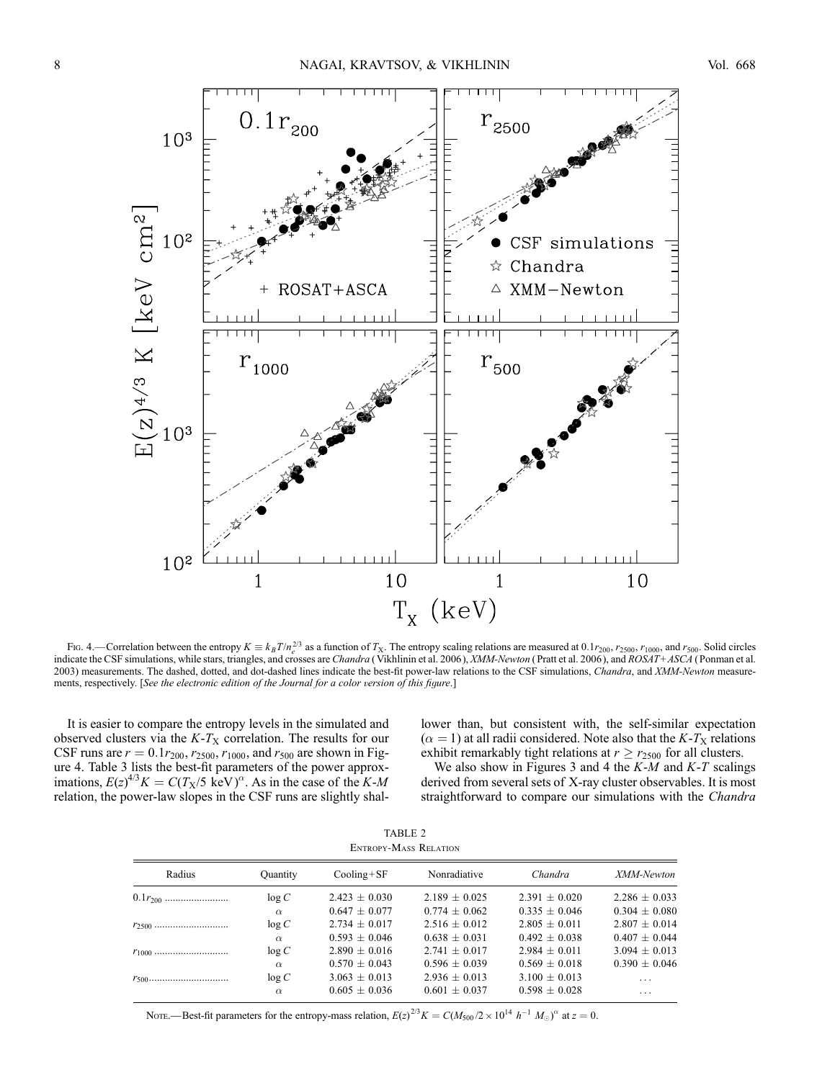

Fig. 4.—Correlation between the entropy  $K = k_B T/n_e^{2/3}$  as a function of  $T_X$ . The entropy scaling relations are measured at 0.1 $r_{200}$ ,  $r_{2500}$ ,  $r_{1000}$ , and  $r_{500}$ . Solid circles indicate the CSF simulations, whil 2003) measurements. The dashed, dotted, and dot-dashed lines indicate the best-fit power-law relations to the CSF simulations, Chandra, and XMM-Newton measurements, respectively. [See the electronic edition of the Journal for a color version of this figure.]

It is easier to compare the entropy levels in the simulated and observed clusters via the  $K-T_X$  correlation. The results for our CSF runs are  $r = 0.1r_{200}$ ,  $r_{2500}$ ,  $r_{1000}$ , and  $r_{500}$  are shown in Figure 4. Table 3 lists the best-fit parameters of the power approximations,  $E(z)^{4/3}K = C(T_X/5 \text{ keV})^{\alpha}$ . As in the case of the K-M relation, the power-law slopes in the CSF runs are slightly shallower than, but consistent with, the self-similar expectation  $(\alpha = 1)$  at all radii considered. Note also that the K-T<sub>X</sub> relations exhibit remarkably tight relations at  $r \ge r_{2500}$  for all clusters.

We also show in Figures 3 and 4 the  $K-M$  and  $K-T$  scalings derived from several sets of X-ray cluster observables. It is most straightforward to compare our simulations with the Chandra

TABLE 2 Entropy-Mass Relation

| Radius       | <b>Ouantity</b> | $Cooling + SF$    | Nonradiative      | Chandra           | XMM-Newton        |
|--------------|-----------------|-------------------|-------------------|-------------------|-------------------|
| $0.1r_{200}$ | log C           | $2.423 \pm 0.030$ | $2.189 \pm 0.025$ | $2.391 \pm 0.020$ | $2.286 \pm 0.033$ |
|              | $\alpha$        | $0.647 \pm 0.077$ | $0.774 + 0.062$   | $0.335 + 0.046$   | $0.304 \pm 0.080$ |
|              | log C           | $2.734 + 0.017$   | $2.516 + 0.012$   | $2.805 + 0.011$   | $2.807 \pm 0.014$ |
|              | $\alpha$        | $0.593 + 0.046$   | $0.638 \pm 0.031$ | $0.492 + 0.038$   | $0.407 \pm 0.044$ |
|              | log C           | $2.890 + 0.016$   | $2.741 + 0.017$   | $2.984 + 0.011$   | $3.094 + 0.013$   |
|              | $\alpha$        | $0.570 \pm 0.043$ | $0.596 \pm 0.039$ | $0.569 + 0.018$   | $0.390 \pm 0.046$ |
|              | log C           | $3.063 \pm 0.013$ | $2.936 \pm 0.013$ | $3.100 \pm 0.013$ | $\cdots$          |
|              | $\alpha$        | $0.605 \pm 0.036$ | $0.601 + 0.037$   | $0.598 + 0.028$   | .                 |

Note.—Best-fit parameters for the entropy-mass relation,  $E(z)^{2/3}K = C(M_{500}/2 \times 10^{14} h^{-1} M_{\odot})^{\alpha}$  at  $z = 0$ .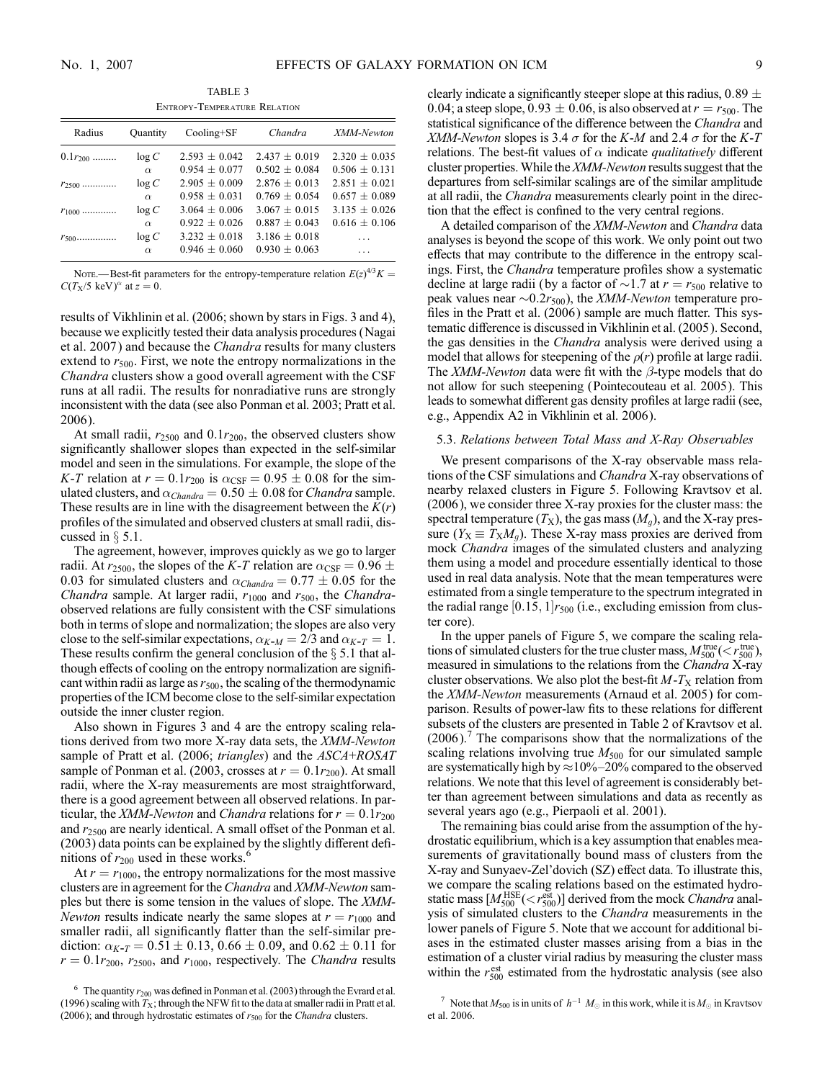TABLE 3 Entropy-Temperature Relation

| Radius       | <b>Ouantity</b> | $Cooling+SF$      | Chandra         | XMM-Newton      |
|--------------|-----------------|-------------------|-----------------|-----------------|
| $0.1r_{200}$ | log C           | $2.593 + 0.042$   | $2.437 + 0.019$ | $2.320 + 0.035$ |
|              | $\alpha$        | $0.954 + 0.077$   | $0.502 + 0.084$ | $0.506 + 0.131$ |
| $r_{2500}$   | log C           | $2.905 + 0.009$   | $2.876 + 0.013$ | $2.851 + 0.021$ |
|              | $\alpha$        | $0.958 + 0.031$   | $0.769 + 0.054$ | $0.657 + 0.089$ |
| $r_{1000}$   | log C           | $3.064 \pm 0.006$ | $3.067 + 0.015$ | $3.135 + 0.026$ |
|              | $\alpha$        | $0.922 + 0.026$   | $0.887 + 0.043$ | $0.616 + 0.106$ |
| $r_{500}$    | log C           | $3.232 + 0.018$   | $3.186 + 0.018$ |                 |
|              | $\alpha$        | $0.946 + 0.060$   | $0.930 + 0.063$ |                 |

NOTE.—Best-fit parameters for the entropy-temperature relation  $E(z)^{4/3}K =$  $C(T_X/5 \text{ keV})^{\alpha}$  at  $z = 0$ .

results of Vikhlinin et al. (2006; shown by stars in Figs. 3 and 4), because we explicitly tested their data analysis procedures (Nagai et al. 2007 ) and because the Chandra results for many clusters extend to  $r_{500}$ . First, we note the entropy normalizations in the Chandra clusters show a good overall agreement with the CSF runs at all radii. The results for nonradiative runs are strongly inconsistent with the data (see also Ponman et al. 2003; Pratt et al. 2006).

At small radii,  $r_{2500}$  and 0.1 $r_{200}$ , the observed clusters show significantly shallower slopes than expected in the self-similar model and seen in the simulations. For example, the slope of the K-T relation at  $r = 0.1r_{200}$  is  $\alpha_{\text{CSF}} = 0.95 \pm 0.08$  for the simulated clusters, and  $\alpha_{Chandra} = 0.50 \pm 0.08$  for *Chandra* sample. These results are in line with the disagreement between the  $K(r)$ profiles of the simulated and observed clusters at small radii, discussed in  $\S$  5.1.

The agreement, however, improves quickly as we go to larger radii. At  $r_{2500}$ , the slopes of the K-T relation are  $\alpha_{\text{CSF}} = 0.96 \pm$ 0.03 for simulated clusters and  $\alpha_{Chandra} = 0.77 \pm 0.05$  for the Chandra sample. At larger radii,  $r_{1000}$  and  $r_{500}$ , the Chandraobserved relations are fully consistent with the CSF simulations both in terms of slope and normalization; the slopes are also very close to the self-similar expectations,  $\alpha_{K-M} = 2/3$  and  $\alpha_{K-T} = 1$ . These results confirm the general conclusion of the  $\S$  5.1 that although effects of cooling on the entropy normalization are significant within radii as large as  $r_{500}$ , the scaling of the thermodynamic properties of the ICM become close to the self-similar expectation outside the inner cluster region.

Also shown in Figures 3 and 4 are the entropy scaling relations derived from two more X-ray data sets, the XMM-Newton sample of Pratt et al. (2006; triangles) and the ASCA+ROSAT sample of Ponman et al. (2003, crosses at  $r = 0.1r_{200}$ ). At small radii, where the X-ray measurements are most straightforward, there is a good agreement between all observed relations. In particular, the XMM-Newton and Chandra relations for  $r = 0.1r_{200}$ and  $r_{2500}$  are nearly identical. A small offset of the Ponman et al. (2003) data points can be explained by the slightly different definitions of  $r_{200}$  used in these works.<sup>6</sup>

At  $r = r_{1000}$ , the entropy normalizations for the most massive clusters are in agreement for the Chandra and XMM-Newton samples but there is some tension in the values of slope. The XMM-*Newton* results indicate nearly the same slopes at  $r = r_{1000}$  and smaller radii, all significantly flatter than the self-similar prediction:  $\alpha_{K-T} = 0.51 \pm 0.13$ , 0.66  $\pm$  0.09, and 0.62  $\pm$  0.11 for  $r = 0.1r_{200}$ ,  $r_{2500}$ , and  $r_{1000}$ , respectively. The *Chandra* results

clearly indicate a significantly steeper slope at this radius,  $0.89 \pm$ 0.04; a steep slope, 0.93  $\pm$  0.06, is also observed at  $r = r_{500}$ . The statistical significance of the difference between the Chandra and XMM-Newton slopes is 3.4  $\sigma$  for the K-M and 2.4  $\sigma$  for the K-T relations. The best-fit values of  $\alpha$  indicate *qualitatively* different cluster properties. While the XMM-Newton results suggest that the departures from self-similar scalings are of the similar amplitude at all radii, the Chandra measurements clearly point in the direction that the effect is confined to the very central regions.

A detailed comparison of the XMM-Newton and Chandra data analyses is beyond the scope of this work. We only point out two effects that may contribute to the difference in the entropy scalings. First, the Chandra temperature profiles show a systematic decline at large radii (by a factor of  $\sim$ 1.7 at  $r = r_{500}$  relative to peak values near  $\sim 0.2r_{500}$ ), the *XMM-Newton* temperature profiles in the Pratt et al. (2006) sample are much flatter. This systematic difference is discussed in Vikhlinin et al. (2005). Second, the gas densities in the Chandra analysis were derived using a model that allows for steepening of the  $\rho(r)$  profile at large radii. The *XMM-Newton* data were fit with the  $\beta$ -type models that do not allow for such steepening (Pointecouteau et al. 2005). This leads to somewhat different gas density profiles at large radii (see, e.g., Appendix A2 in Vikhlinin et al. 2006).

### 5.3. Relations between Total Mass and X-Ray Observables

We present comparisons of the X-ray observable mass relations of the CSF simulations and Chandra X-ray observations of nearby relaxed clusters in Figure 5. Following Kravtsov et al. (2006 ), we consider three X-ray proxies for the cluster mass: the spectral temperature  $(T_X)$ , the gas mass  $(M_q)$ , and the X-ray pressure  $(Y_X \equiv T_X M_q)$ . These X-ray mass proxies are derived from mock Chandra images of the simulated clusters and analyzing them using a model and procedure essentially identical to those used in real data analysis. Note that the mean temperatures were estimated from a single temperature to the spectrum integrated in the radial range [0.15, 1] $r_{500}$  (i.e., excluding emission from cluster core).

In the upper panels of Figure 5, we compare the scaling relations of simulated clusters for the true cluster mass,  $M_{500}^{\text{true}}(< r_{500}^{\text{true}})$ , measured in simulations to the relations from the Chandra X-ray cluster observations. We also plot the best-fit  $M-T<sub>X</sub>$  relation from the XMM-Newton measurements (Arnaud et al. 2005) for comparison. Results of power-law fits to these relations for different subsets of the clusters are presented in Table 2 of Kravtsov et al.  $(2006)$ . The comparisons show that the normalizations of the scaling relations involving true  $M_{500}$  for our simulated sample are systematically high by  $\approx$  10%-20% compared to the observed relations. We note that this level of agreement is considerably better than agreement between simulations and data as recently as several years ago (e.g., Pierpaoli et al. 2001).

The remaining bias could arise from the assumption of the hydrostatic equilibrium, which is a key assumption that enables measurements of gravitationally bound mass of clusters from the X-ray and Sunyaev-Zel'dovich (SZ) effect data. To illustrate this, we compare the scaling relations based on the estimated hydrostatic mass  $[M_{500}^{\text{HSE}}( derived from the mock *Chandra* anal$ ysis of simulated clusters to the Chandra measurements in the lower panels of Figure 5. Note that we account for additional biases in the estimated cluster masses arising from a bias in the estimation of a cluster virial radius by measuring the cluster mass within the  $r_{500}^{\text{est}}$  estimated from the hydrostatic analysis (see also

<sup>&</sup>lt;sup>6</sup> The quantity  $r_{200}$  was defined in Ponman et al. (2003) through the Evrard et al. (1996) scaling with  $T<sub>X</sub>$ ; through the NFW fit to the data at smaller radii in Pratt et al. (2006); and through hydrostatic estimates of  $r_{500}$  for the Chandra clusters.

<sup>&</sup>lt;sup>7</sup> Note that  $M_{500}$  is in units of  $h^{-1} M_{\odot}$  in this work, while it is  $M_{\odot}$  in Kravtsov et al. 2006.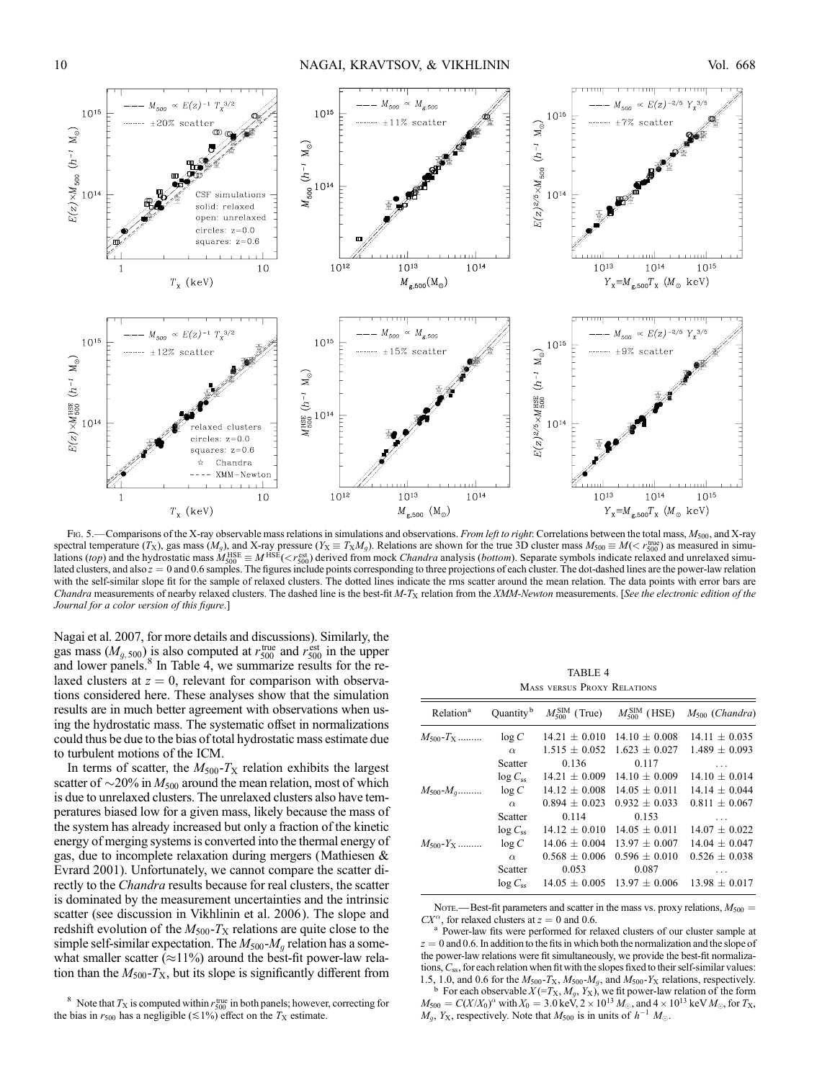

Fig. 5.—Comparisons of the X-ray observable mass relations in simulations and observations. From left to right: Correlations between the total mass,  $M_{500}$ , and X-ray spectral temperature  $(T_X)$ , gas mass  $(M_g)$ , and X-ray pressure  $(Y_X \equiv T_X M_g)$ . Relations are shown for the true 3D cluster mass  $M_{500} \equiv M(< r_{500}^{\text{true}})$  as measured in simulations *(top)* and the hydrostatic mass  $M_{500}^{\text$ lated clusters, and also  $z = 0$  and 0.6 samples. The figures include points corresponding to three projections of each cluster. The dot-dashed lines are the power-law relation with the self-similar slope fit for the sample of relaxed clusters. The dotted lines indicate the rms scatter around the mean relation. The data points with error bars are Chandra measurements of nearby relaxed clusters. The dashed line is the best-fit M-T<sub>X</sub> relation from the XMM-Newton measurements. [See the electronic edition of the Journal for a color version of this figure.]

Nagai et al. 2007, for more details and discussions). Similarly, the gas mass  $(M_{g, 500})$  is also computed at  $r_{500}^{\text{true}}$  and  $r_{500}^{\text{est}}$  in the upper and lower panels. $8 \text{ In Table 4}$ , we summarize results for the relaxed clusters at  $z = 0$ , relevant for comparison with observations considered here. These analyses show that the simulation results are in much better agreement with observations when using the hydrostatic mass. The systematic offset in normalizations could thus be due to the bias of total hydrostatic mass estimate due to turbulent motions of the ICM.

In terms of scatter, the  $M_{500}$ - $T_{\text{X}}$  relation exhibits the largest scatter of  $\sim$ 20% in  $M_{500}$  around the mean relation, most of which is due to unrelaxed clusters. The unrelaxed clusters also have temperatures biased low for a given mass, likely because the mass of the system has already increased but only a fraction of the kinetic energy of merging systems is converted into the thermal energy of gas, due to incomplete relaxation during mergers (Mathiesen & Evrard 2001). Unfortunately, we cannot compare the scatter directly to the Chandra results because for real clusters, the scatter is dominated by the measurement uncertainties and the intrinsic scatter (see discussion in Vikhlinin et al. 2006 ). The slope and redshift evolution of the  $M_{500}$ - $T_{\rm X}$  relations are quite close to the simple self-similar expectation. The  $M_{500}$ - $M_g$  relation has a somewhat smaller scatter ( $\approx$ 11%) around the best-fit power-law relation than the  $M_{500}$ - $T_{\text{X}}$ , but its slope is significantly different from

<sup>8</sup> Note that  $T_X$  is computed within  $r_{500}^{\text{true}}$  in both panels; however, correcting for the bias in  $r_{500}$  has a negligible ( $\leq 1\%$ ) effect on the  $T_{\rm X}$  estimate.

TABLE 4 Mass versus Proxy Relations

| Relation <sup>a</sup> |                |                   |                                     | Quantity <sup>b</sup> $M_{500}^{\text{SIM}}$ (True) $M_{500}^{\text{SIM}}$ (HSE) $M_{500}$ (Chandra) |
|-----------------------|----------------|-------------------|-------------------------------------|------------------------------------------------------------------------------------------------------|
| $M_{500} - T_{\rm X}$ | log C          | $14.21 \pm 0.010$ | $14.10 \pm 0.008$                   | $14.11 \pm 0.035$                                                                                    |
|                       | $\alpha$       | $1.515 \pm 0.052$ | $1.623 \pm 0.027$                   | $1.489 \pm 0.093$                                                                                    |
|                       | Scatter        | 0.136             | 0.117                               | .                                                                                                    |
|                       | $\log C_{ss}$  | $14.21 \pm 0.009$ | $14.10 \pm 0.009$                   | $14.10 \pm 0.014$                                                                                    |
| $M_{500}$ - $M_{a}$   | log C          | $14.12 \pm 0.008$ | $14.05 \pm 0.011$                   | $14.14 \pm 0.044$                                                                                    |
|                       | $\alpha$       | $0.894 \pm 0.023$ | $0.932 \pm 0.033$                   | $0.811 \pm 0.067$                                                                                    |
|                       | Scatter        | 0.114             | 0.153                               | .                                                                                                    |
|                       | $\log C_{ss}$  | $14.12 \pm 0.010$ | $14.05 \pm 0.011$                   | $14.07 \pm 0.022$                                                                                    |
| $M_{500} - Y_{X}$     | log C          | $14.06 \pm 0.004$ | $13.97 \pm 0.007$                   | $14.04 \pm 0.047$                                                                                    |
|                       | $\alpha$       | $0.568 \pm 0.006$ | $0.596 \pm 0.010$                   | $0.526 \pm 0.038$                                                                                    |
|                       | <b>Scatter</b> | 0.053             | 0.087                               | $\cdots$                                                                                             |
|                       | $\log C_{ss}$  |                   | $14.05 \pm 0.005$ 13.97 $\pm$ 0.006 | $13.98 + 0.017$                                                                                      |
|                       |                |                   |                                     |                                                                                                      |

Nore.—Best-fit parameters and scatter in the mass vs. proxy relations,  $M_{500} = CX^{\alpha}$ , for relaxed clusters at  $z = 0$  and 0.6.

Power-law fits were performed for relaxed clusters of our cluster sample at  $z = 0$  and 0.6. In addition to the fits in which both the normalization and the slope of the power-law relations were fit simultaneously, we provide the best-fit normalizations,  $C_{ss}$ , for each relation when fit with the slopes fixed to their self-similar values: 1.5, 1.0, and 0.6 for the  $M_{500}$ - $T_X$ ,  $M_{500}$ - $M_g$ , and  $M_{500}$ - $Y_X$  relations, respectively. <sup>b</sup> For each observable  $X = T_X, M_g, Y_X$ , we fit power-law relation of the form  $M_{500} = C(X/X_0)^\alpha$  with  $X_0 = 3.0$  keV,  $2 \times 10^{13}$   $M_\odot$ , and  $4 \times 10^{13}$  keV  $M_\odot$ , for  $T_{\rm X}$ ,  $M_g$ , Y<sub>X</sub>, respectively. Note that  $M_{500}$  is in units of  $h^{-1} M_{\odot}$ .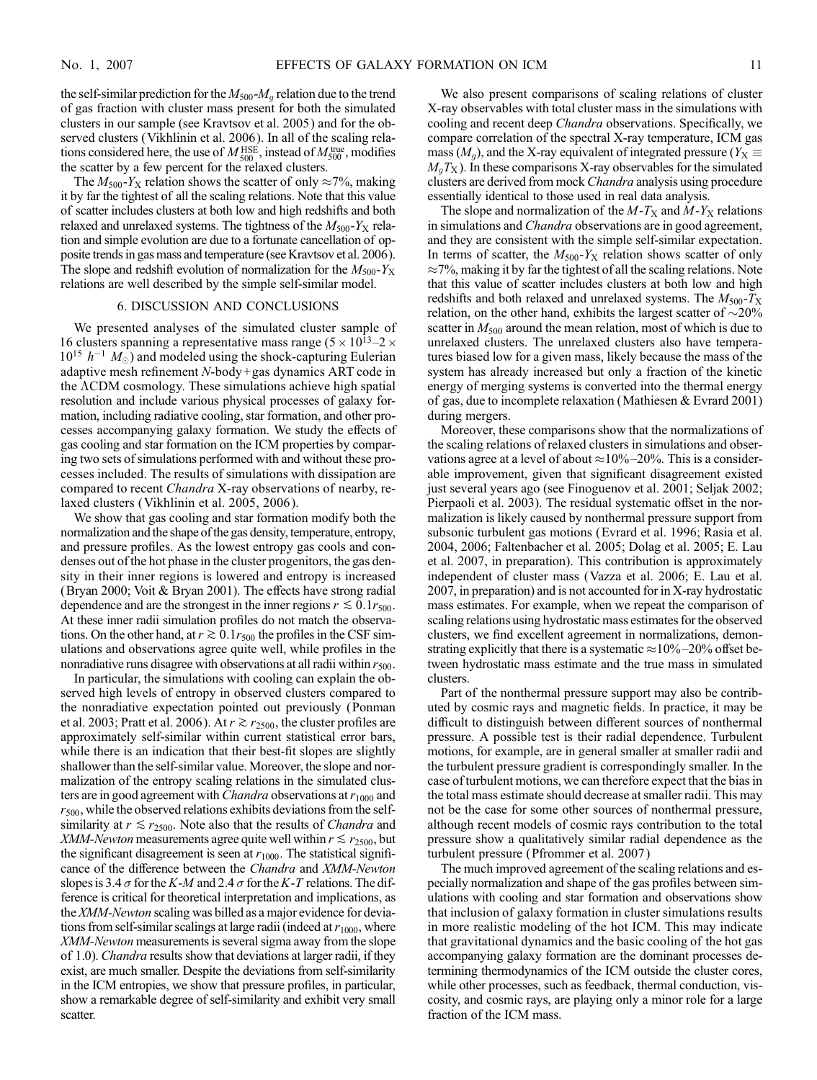the self-similar prediction for the  $M_{500}$ - $M_q$  relation due to the trend of gas fraction with cluster mass present for both the simulated clusters in our sample (see Kravtsov et al. 2005) and for the observed clusters (Vikhlinin et al. 2006). In all of the scaling relations considered here, the use of  $M_{500}^{\text{HSE}}$ , instead of  $M_{500}^{\text{true}}$ , modifies the scatter by a few percent for the relaxed clusters.

The  $M_{500}$ -Y<sub>X</sub> relation shows the scatter of only  $\approx$ 7%, making it by far the tightest of all the scaling relations. Note that this value of scatter includes clusters at both low and high redshifts and both relaxed and unrelaxed systems. The tightness of the  $M_{500}$ -Y<sub>X</sub> relation and simple evolution are due to a fortunate cancellation of opposite trends in gas mass and temperature (see Kravtsov et al. 2006). The slope and redshift evolution of normalization for the  $M_{500}$ -Y<sub>X</sub> relations are well described by the simple self-similar model.

#### 6. DISCUSSION AND CONCLUSIONS

We presented analyses of the simulated cluster sample of 16 clusters spanning a representative mass range  $(5 \times 10^{13} - 2 \times$  $10^{15}$   $h^{-1}$   $M_{\odot}$ ) and modeled using the shock-capturing Eulerian adaptive mesh refinement N-body+gas dynamics ART code in the ACDM cosmology. These simulations achieve high spatial resolution and include various physical processes of galaxy formation, including radiative cooling, star formation, and other processes accompanying galaxy formation. We study the effects of gas cooling and star formation on the ICM properties by comparing two sets of simulations performed with and without these processes included. The results of simulations with dissipation are compared to recent Chandra X-ray observations of nearby, relaxed clusters (Vikhlinin et al. 2005, 2006 ).

We show that gas cooling and star formation modify both the normalization and the shape of the gas density, temperature, entropy, and pressure profiles. As the lowest entropy gas cools and condenses out of the hot phase in the cluster progenitors, the gas density in their inner regions is lowered and entropy is increased (Bryan 2000; Voit & Bryan 2001). The effects have strong radial dependence and are the strongest in the inner regions  $r \lesssim 0.1r_{500}$ . At these inner radii simulation profiles do not match the observations. On the other hand, at  $r \gtrsim 0.1r_{500}$  the profiles in the CSF simulations and observations agree quite well, while profiles in the nonradiative runs disagree with observations at all radii within  $r_{500}$ .

In particular, the simulations with cooling can explain the observed high levels of entropy in observed clusters compared to the nonradiative expectation pointed out previously (Ponman et al. 2003; Pratt et al. 2006). At  $r \gtrsim r_{2500}$ , the cluster profiles are approximately self-similar within current statistical error bars, while there is an indication that their best-fit slopes are slightly shallower than the self-similar value. Moreover, the slope and normalization of the entropy scaling relations in the simulated clusters are in good agreement with *Chandra* observations at  $r_{1000}$  and  $r_{500}$ , while the observed relations exhibits deviations from the selfsimilarity at  $r \le r_{2500}$ . Note also that the results of *Chandra* and *XMM-Newton* measurements agree quite well within  $r \le r_{2500}$ , but the significant disagreement is seen at  $r_{1000}$ . The statistical significance of the difference between the Chandra and XMM-Newton slopes is 3.4  $\sigma$  for the K-M and 2.4  $\sigma$  for the K-T relations. The difference is critical for theoretical interpretation and implications, as the XMM-Newton scaling was billed as a major evidence for deviations from self-similar scalings at large radii (indeed at  $r_{1000}$ , where XMM-Newton measurements is several sigma away from the slope of 1.0). Chandra results show that deviations at larger radii, if they exist, are much smaller. Despite the deviations from self-similarity in the ICM entropies, we show that pressure profiles, in particular, show a remarkable degree of self-similarity and exhibit very small scatter.

We also present comparisons of scaling relations of cluster X-ray observables with total cluster mass in the simulations with cooling and recent deep Chandra observations. Specifically, we compare correlation of the spectral X-ray temperature, ICM gas mass ( $M<sub>g</sub>$ ), and the X-ray equivalent of integrated pressure ( $Y<sub>X</sub> \equiv$  $M_qT_X$ ). In these comparisons X-ray observables for the simulated clusters are derived from mock *Chandra* analysis using procedure essentially identical to those used in real data analysis.

The slope and normalization of the  $M-T_X$  and  $M-Y_X$  relations in simulations and *Chandra* observations are in good agreement, and they are consistent with the simple self-similar expectation. In terms of scatter, the  $M_{500}$ -Y<sub>X</sub> relation shows scatter of only  $\approx$ 7%, making it by far the tightest of all the scaling relations. Note that this value of scatter includes clusters at both low and high redshifts and both relaxed and unrelaxed systems. The  $M_{500}$ - $T_{\rm X}$ relation, on the other hand, exhibits the largest scatter of  $\sim$ 20% scatter in  $M_{500}$  around the mean relation, most of which is due to unrelaxed clusters. The unrelaxed clusters also have temperatures biased low for a given mass, likely because the mass of the system has already increased but only a fraction of the kinetic energy of merging systems is converted into the thermal energy of gas, due to incomplete relaxation (Mathiesen & Evrard 2001) during mergers.

Moreover, these comparisons show that the normalizations of the scaling relations of relaxed clusters in simulations and observations agree at a level of about  $\approx 10\% - 20\%$ . This is a considerable improvement, given that significant disagreement existed just several years ago (see Finoguenov et al. 2001; Seljak 2002; Pierpaoli et al. 2003). The residual systematic offset in the normalization is likely caused by nonthermal pressure support from subsonic turbulent gas motions (Evrard et al. 1996; Rasia et al. 2004, 2006; Faltenbacher et al. 2005; Dolag et al. 2005; E. Lau et al. 2007, in preparation). This contribution is approximately independent of cluster mass (Vazza et al. 2006; E. Lau et al. 2007, in preparation) and is not accounted for in X-ray hydrostatic mass estimates. For example, when we repeat the comparison of scaling relations using hydrostatic mass estimates for the observed clusters, we find excellent agreement in normalizations, demonstrating explicitly that there is a systematic  $\approx 10\% - 20\%$  offset between hydrostatic mass estimate and the true mass in simulated clusters.

Part of the nonthermal pressure support may also be contributed by cosmic rays and magnetic fields. In practice, it may be difficult to distinguish between different sources of nonthermal pressure. A possible test is their radial dependence. Turbulent motions, for example, are in general smaller at smaller radii and the turbulent pressure gradient is correspondingly smaller. In the case of turbulent motions, we can therefore expect that the bias in the total mass estimate should decrease at smaller radii. This may not be the case for some other sources of nonthermal pressure, although recent models of cosmic rays contribution to the total pressure show a qualitatively similar radial dependence as the turbulent pressure (Pfrommer et al. 2007 )

The much improved agreement of the scaling relations and especially normalization and shape of the gas profiles between simulations with cooling and star formation and observations show that inclusion of galaxy formation in cluster simulations results in more realistic modeling of the hot ICM. This may indicate that gravitational dynamics and the basic cooling of the hot gas accompanying galaxy formation are the dominant processes determining thermodynamics of the ICM outside the cluster cores, while other processes, such as feedback, thermal conduction, viscosity, and cosmic rays, are playing only a minor role for a large fraction of the ICM mass.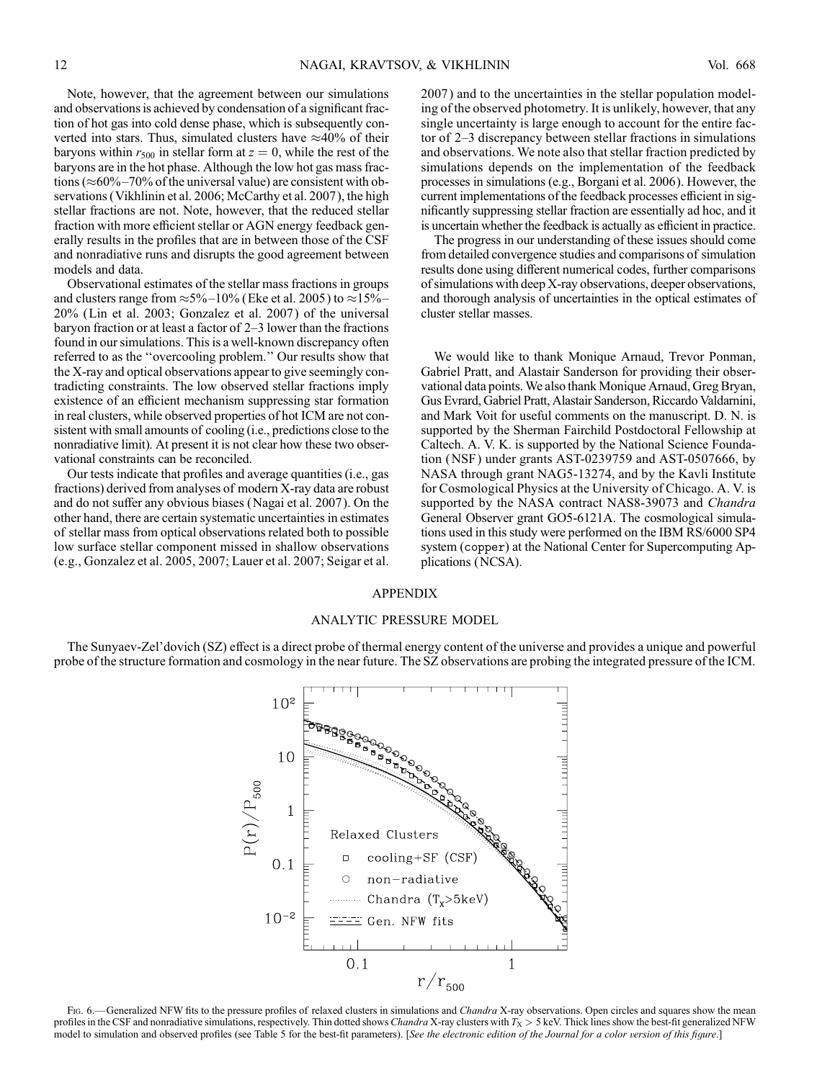Note, however, that the agreement between our simulations and observations is achieved by condensation of a significant fraction of hot gas into cold dense phase, which is subsequently converted into stars. Thus, simulated clusters have  $\approx$ 40% of their baryons within  $r_{500}$  in stellar form at  $z = 0$ , while the rest of the baryons are in the hot phase. Although the low hot gas mass fractions ( $\approx 60\% - 70\%$  of the universal value) are consistent with observations (Vikhlinin et al. 2006; McCarthy et al. 2007 ), the high stellar fractions are not. Note, however, that the reduced stellar fraction with more efficient stellar or AGN energy feedback generally results in the profiles that are in between those of the CSF and nonradiative runs and disrupts the good agreement between models and data.

Observational estimates of the stellar mass fractions in groups and clusters range from  $\approx$  5%-10% (Eke et al. 2005) to  $\approx$  15%-20% (Lin et al. 2003; Gonzalez et al. 2007 ) of the universal baryon fraction or at least a factor of  $2-3$  lower than the fractions found in our simulations. This is a well-known discrepancy often referred to as the ''overcooling problem.'' Our results show that the X-ray and optical observations appear to give seemingly contradicting constraints. The low observed stellar fractions imply existence of an efficient mechanism suppressing star formation in real clusters, while observed properties of hot ICM are not consistent with small amounts of cooling (i.e., predictions close to the nonradiative limit). At present it is not clear how these two observational constraints can be reconciled.

Our tests indicate that profiles and average quantities (i.e., gas fractions) derived from analyses of modern X-ray data are robust and do not suffer any obvious biases (Nagai et al. 2007 ). On the other hand, there are certain systematic uncertainties in estimates of stellar mass from optical observations related both to possible low surface stellar component missed in shallow observations (e.g., Gonzalez et al. 2005, 2007; Lauer et al. 2007; Seigar et al. 2007 ) and to the uncertainties in the stellar population modeling of the observed photometry. It is unlikely, however, that any single uncertainty is large enough to account for the entire factor of  $2-3$  discrepancy between stellar fractions in simulations and observations. We note also that stellar fraction predicted by simulations depends on the implementation of the feedback processes in simulations (e.g., Borgani et al. 2006). However, the current implementations of the feedback processes efficient in significantly suppressing stellar fraction are essentially ad hoc, and it is uncertain whether the feedback is actually as efficient in practice.

The progress in our understanding of these issues should come from detailed convergence studies and comparisons of simulation results done using different numerical codes, further comparisons of simulations with deep X-ray observations, deeper observations, and thorough analysis of uncertainties in the optical estimates of cluster stellar masses.

We would like to thank Monique Arnaud, Trevor Ponman, Gabriel Pratt, and Alastair Sanderson for providing their observational data points. We also thank Monique Arnaud, Greg Bryan, Gus Evrard, Gabriel Pratt, Alastair Sanderson, Riccardo Valdarnini, and Mark Voit for useful comments on the manuscript. D. N. is supported by the Sherman Fairchild Postdoctoral Fellowship at Caltech. A. V. K. is supported by the National Science Foundation (NSF ) under grants AST-0239759 and AST-0507666, by NASA through grant NAG5-13274, and by the Kavli Institute for Cosmological Physics at the University of Chicago. A. V. is supported by the NASA contract NAS8-39073 and Chandra General Observer grant GO5-6121A. The cosmological simulations used in this study were performed on the IBM RS/6000 SP4 system (copper) at the National Center for Supercomputing Applications (NCSA).

### APPENDIX

## ANALYTIC PRESSURE MODEL

The Sunyaev-Zel'dovich (SZ) effect is a direct probe of thermal energy content of the universe and provides a unique and powerful probe of the structure formation and cosmology in the near future. The SZ observations are probing the integrated pressure of the ICM.



Fig. 6.—Generalized NFW fits to the pressure profiles of relaxed clusters in simulations and Chandra X-ray observations. Open circles and squares show the mean profiles in the CSF and nonradiative simulations, respectively. Thin dotted shows Chandra X-ray clusters with  $T_{\rm X} > 5$  keV. Thick lines show the best-fit generalized NFW model to simulation and observed profiles (see Table 5 for the best-fit parameters). [See the electronic edition of the Journal for a color version of this figure.]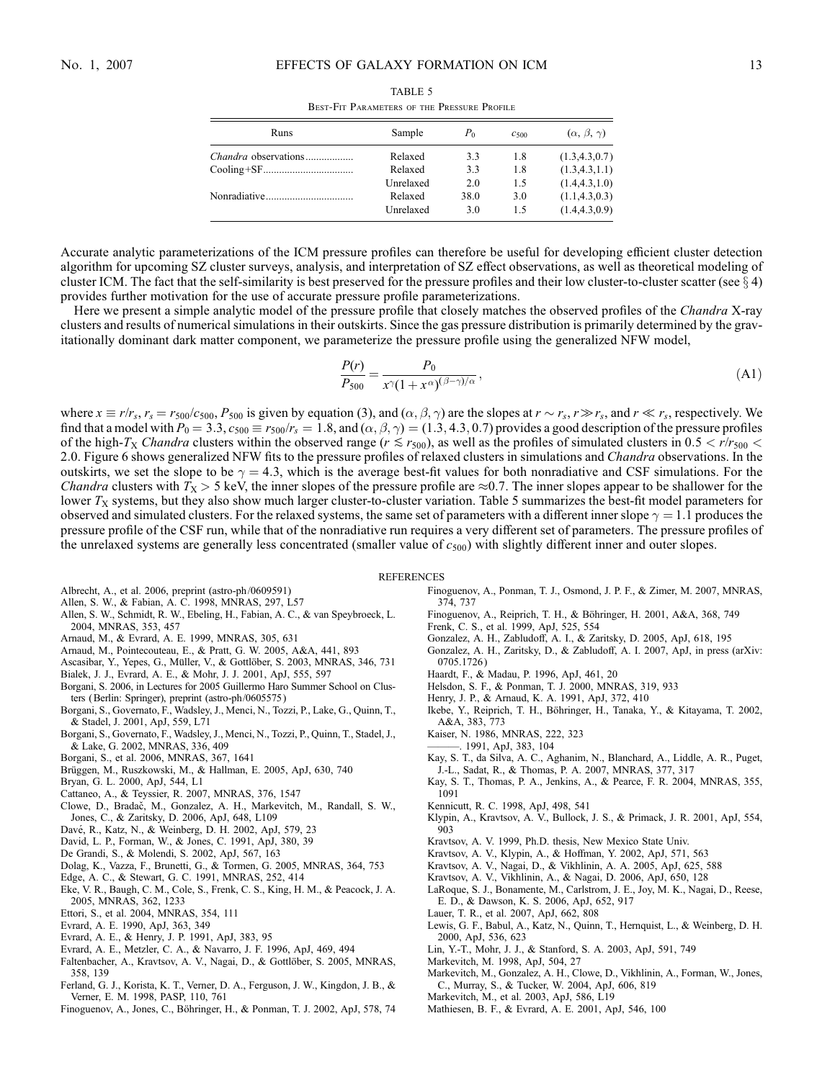| Sample               | Po          | $C_{500}$  | $(\alpha, \beta, \gamma)$          |
|----------------------|-------------|------------|------------------------------------|
| Relaxed              | 3.3         | 1.8        | (1.3, 4.3, 0.7)                    |
| Relaxed              | 3.3         | 1.8        | (1.3, 4.3, 1.1)                    |
| Unrelaxed            | 2.0         | 1.5        | (1.4.4.3.1.0)                      |
| Relaxed<br>Unrelaxed | 38.0<br>3.0 | 3.0<br>1.5 | (1.1, 4.3, 0.3)<br>(1.4, 4.3, 0.9) |
|                      |             |            |                                    |

TABLE 5 Best-Fit Parameters of the Pressure Profile

Accurate analytic parameterizations of the ICM pressure profiles can therefore be useful for developing efficient cluster detection algorithm for upcoming SZ cluster surveys, analysis, and interpretation of SZ effect observations, as well as theoretical modeling of cluster ICM. The fact that the self-similarity is best preserved for the pressure profiles and their low cluster-to-cluster scatter (see  $\S$  4) provides further motivation for the use of accurate pressure profile parameterizations.

Here we present a simple analytic model of the pressure profile that closely matches the observed profiles of the *Chandra* X-ray clusters and results of numerical simulations in their outskirts. Since the gas pressure distribution is primarily determined by the gravitationally dominant dark matter component, we parameterize the pressure profile using the generalized NFW model,

$$
\frac{P(r)}{P_{500}} = \frac{P_0}{x^{\gamma}(1+x^{\alpha})^{(\beta-\gamma)/\alpha}},\tag{A1}
$$

where  $x \equiv r/r_s$ ,  $r_s = r_{500}/c_{500}$ ,  $P_{500}$  is given by equation (3), and  $(\alpha, \beta, \gamma)$  are the slopes at  $r \sim r_s$ ,  $r \gg r_s$ , and  $r \ll r_s$ , respectively. We find that a model with  $P_0 = 3.3$ ,  $c_{500} \equiv r_{500}/r_s = 1.8$ , and  $(\alpha, \beta, \gamma) = (1.3, 4.3, 0.7)$  provides a good description of the pressure profiles of the high-T<sub>X</sub> Chandra clusters within the observed range ( $r \le r_{500}$ ), as well as the profiles of simulated clusters in 0.5 <  $r/r_{500}$  < 2.0. Figure 6 shows generalized NFW fits to the pressure profiles of relaxed clusters in simulations and *Chandra* observations. In the outskirts, we set the slope to be  $\gamma = 4.3$ , which is the average best-fit values for both nonradiative and CSF simulations. For the *Chandra* clusters with  $T_X > 5$  keV, the inner slopes of the pressure profile are  $\approx 0.7$ . The inner slopes appear to be shallower for the lower  $T_X$  systems, but they also show much larger cluster-to-cluster variation. Table 5 summarizes the best-fit model parameters for observed and simulated clusters. For the relaxed systems, the same set of parameters with a different inner slope  $\gamma = 1.1$  produces the pressure profile of the CSF run, while that of the nonradiative run requires a very different set of parameters. The pressure profiles of the unrelaxed systems are generally less concentrated (smaller value of  $c_{500}$ ) with slightly different inner and outer slopes.

#### **REFERENCES**

- Albrecht, A., et al. 2006, preprint (astro-ph/0609591)
- Allen, S. W., & Fabian, A. C. 1998, MNRAS, 297, L57
- Allen, S. W., Schmidt, R. W., Ebeling, H., Fabian, A. C., & van Speybroeck, L. 2004, MNRAS, 353, 457
- Arnaud, M., & Evrard, A. E. 1999, MNRAS, 305, 631
- Arnaud, M., Pointecouteau, E., & Pratt, G. W. 2005, A&A, 441, 893
- Ascasibar, Y., Yepes, G., Müller, V., & Gottlöber, S. 2003, MNRAS, 346, 731
- Bialek, J. J., Evrard, A. E., & Mohr, J. J. 2001, ApJ, 555, 597
- Borgani, S. 2006, in Lectures for 2005 Guillermo Haro Summer School on Clusters (Berlin: Springer), preprint (astro-ph/0605575 )
- Borgani, S., Governato, F., Wadsley, J., Menci, N., Tozzi, P., Lake, G., Quinn, T., & Stadel, J. 2001, ApJ, 559, L71
- Borgani, S., Governato, F., Wadsley, J., Menci, N., Tozzi, P., Quinn, T., Stadel, J., & Lake, G. 2002, MNRAS, 336, 409
- Borgani, S., et al. 2006, MNRAS, 367, 1641
- Brüggen, M., Ruszkowski, M., & Hallman, E. 2005, ApJ, 630, 740
- Bryan, G. L. 2000, ApJ, 544, L1
- Cattaneo, A., & Teyssier, R. 2007, MNRAS, 376, 1547
- Clowe, D., Bradač, M., Gonzalez, A. H., Markevitch, M., Randall, S. W., Jones, C., & Zaritsky, D. 2006, ApJ, 648, L109
- Davé, R., Katz, N., & Weinberg, D. H. 2002, ApJ, 579, 23
- David, L. P., Forman, W., & Jones, C. 1991, ApJ, 380, 39
- De Grandi, S., & Molendi, S. 2002, ApJ, 567, 163
- Dolag, K., Vazza, F., Brunetti, G., & Tormen, G. 2005, MNRAS, 364, 753
- Edge, A. C., & Stewart, G. C. 1991, MNRAS, 252, 414
- Eke, V. R., Baugh, C. M., Cole, S., Frenk, C. S., King, H. M., & Peacock, J. A. 2005, MNRAS, 362, 1233
- Ettori, S., et al. 2004, MNRAS, 354, 111
- Evrard, A. E. 1990, ApJ, 363, 349
- Evrard, A. E., & Henry, J. P. 1991, ApJ, 383, 95
- Evrard, A. E., Metzler, C. A., & Navarro, J. F. 1996, ApJ, 469, 494
- Faltenbacher, A., Kravtsov, A. V., Nagai, D., & Gottlöber, S. 2005, MNRAS, 358, 139
- Ferland, G. J., Korista, K. T., Verner, D. A., Ferguson, J. W., Kingdon, J. B., & Verner, E. M. 1998, PASP, 110, 761
- Finoguenov, A., Jones, C., Böhringer, H., & Ponman, T. J. 2002, ApJ, 578, 74
- Finoguenov, A., Ponman, T. J., Osmond, J. P. F., & Zimer, M. 2007, MNRAS, 374, 737
- Finoguenov, A., Reiprich, T. H., & Böhringer, H. 2001, A&A, 368, 749
- Frenk, C. S., et al. 1999, ApJ, 525, 554
- Gonzalez, A. H., Zabludoff, A. I., & Zaritsky, D. 2005, ApJ, 618, 195
- Gonzalez, A. H., Zaritsky, D., & Zabludoff, A. I. 2007, ApJ, in press (arXiv: 0705.1726 )
- Haardt, F., & Madau, P. 1996, ApJ, 461, 20
- Helsdon, S. F., & Ponman, T. J. 2000, MNRAS, 319, 933
- Henry, J. P., & Arnaud, K. A. 1991, ApJ, 372, 410
- Ikebe, Y., Reiprich, T. H., Böhringer, H., Tanaka, Y., & Kitayama, T. 2002, A&A, 383, 773
- Kaiser, N. 1986, MNRAS, 222, 323
- ———. 1991, ApJ, 383, 104
- Kay, S. T., da Silva, A. C., Aghanim, N., Blanchard, A., Liddle, A. R., Puget, J.-L., Sadat, R., & Thomas, P. A. 2007, MNRAS, 377, 317
- Kay, S. T., Thomas, P. A., Jenkins, A., & Pearce, F. R. 2004, MNRAS, 355, 1091
- Kennicutt, R. C. 1998, ApJ, 498, 541
- Klypin, A., Kravtsov, A. V., Bullock, J. S., & Primack, J. R. 2001, ApJ, 554, 903
- Kravtsov, A. V. 1999, Ph.D. thesis, New Mexico State Univ.
- Kravtsov, A. V., Klypin, A., & Hoffman, Y. 2002, ApJ, 571, 563
- Kravtsov, A. V., Nagai, D., & Vikhlinin, A. A. 2005, ApJ, 625, 588
- Kravtsov, A. V., Vikhlinin, A., & Nagai, D. 2006, ApJ, 650, 128
- LaRoque, S. J., Bonamente, M., Carlstrom, J. E., Joy, M. K., Nagai, D., Reese, E. D., & Dawson, K. S. 2006, ApJ, 652, 917
- Lauer, T. R., et al. 2007, ApJ, 662, 808
- Lewis, G. F., Babul, A., Katz, N., Quinn, T., Hernquist, L., & Weinberg, D. H. 2000, ApJ, 536, 623
- Lin, Y.-T., Mohr, J. J., & Stanford, S. A. 2003, ApJ, 591, 749
- Markevitch, M. 1998, ApJ, 504, 27
- Markevitch, M., Gonzalez, A. H., Clowe, D., Vikhlinin, A., Forman, W., Jones, C., Murray, S., & Tucker, W. 2004, ApJ, 606, 819
- Markevitch, M., et al. 2003, ApJ, 586, L19
- Mathiesen, B. F., & Evrard, A. E. 2001, ApJ, 546, 100